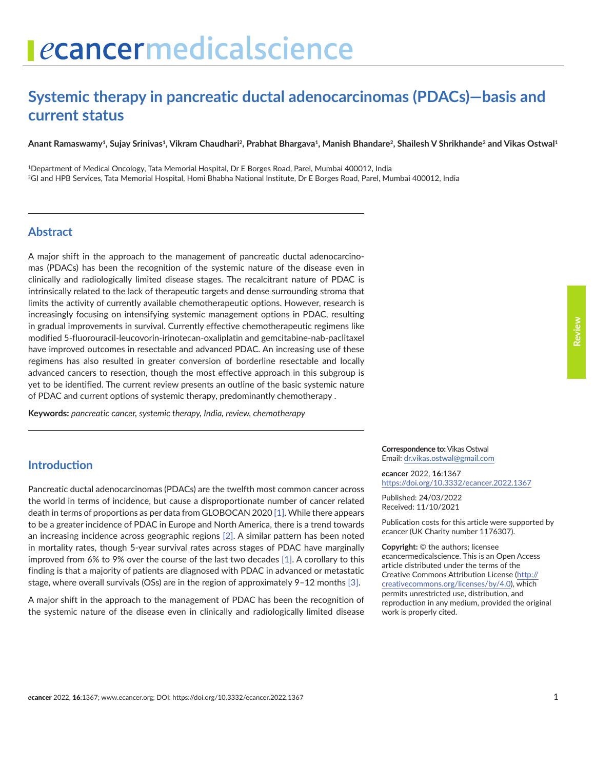# **Systemic therapy in pancreatic ductal adenocarcinomas (PDACs)—basis and current status**

Anant Ramaswamy<sup>1</sup>, Sujay Srinivas<sup>1</sup>, Vikram Chaudhari<sup>2</sup>, Prabhat Bhargava<sup>1</sup>, Manish Bhandare<sup>2</sup>, Shailesh V Shrikhande<sup>2</sup> and Vikas Ostwal<sup>1</sup>

1Department of Medical Oncology, Tata Memorial Hospital, Dr E Borges Road, Parel, Mumbai 400012, India 2GI and HPB Services, Tata Memorial Hospital, Homi Bhabha National Institute, Dr E Borges Road, Parel, Mumbai 400012, India

### **Abstract**

A major shift in the approach to the management of pancreatic ductal adenocarcinomas (PDACs) has been the recognition of the systemic nature of the disease even in clinically and radiologically limited disease stages. The recalcitrant nature of PDAC is intrinsically related to the lack of therapeutic targets and dense surrounding stroma that limits the activity of currently available chemotherapeutic options. However, research is increasingly focusing on intensifying systemic management options in PDAC, resulting in gradual improvements in survival. Currently effective chemotherapeutic regimens like modified 5-fluorouracil-leucovorin-irinotecan-oxaliplatin and gemcitabine-nab-paclitaxel have improved outcomes in resectable and advanced PDAC. An increasing use of these regimens has also resulted in greater conversion of borderline resectable and locally advanced cancers to resection, though the most effective approach in this subgroup is yet to be identified. The current review presents an outline of the basic systemic nature of PDAC and current options of systemic therapy, predominantly chemotherapy .

**Keywords:** *pancreatic cancer, systemic therapy, India, review, chemotherapy*

# **Introduction**

Pancreatic ductal adenocarcinomas (PDACs) are the twelfth most common cancer across the world in terms of incidence, but cause a disproportionate number of cancer related death in terms of proportions as per data from GLOBOCAN 2020 [\[1\].](#page-13-0) While there appears to be a greater incidence of PDAC in Europe and North America, there is a trend towards an increasing incidence across geographic regions [\[2\]](#page-13-0). A similar pattern has been noted in mortality rates, though 5-year survival rates across stages of PDAC have marginally improved from 6% to 9% over the course of the last two decades [\[1\].](#page-13-0) A corollary to this finding is that a majority of patients are diagnosed with PDAC in advanced or metastatic stage, where overall survivals (OSs) are in the region of approximately 9–12 months [\[3\].](#page-13-0)

A major shift in the approach to the management of PDAC has been the recognition of the systemic nature of the disease even in clinically and radiologically limited disease

#### **Correspondence to:**Vikas Ostwal Email: [dr.vikas.ostwal@gmail.com](mailto:dr.vikas.ostwal@gmail.com)

*e***cancer** 2022, **16**:1367 [https://doi.org/10.3332/ecancer.2022.136](https://doi.org/10.3332/ecancer.2022.1367)7

Published: 24/03/2022 Received: 11/10/2021

Publication costs for this article were supported by *e*cancer (UK Charity number 1176307).

**Copyright:** © the authors; licensee *e*cancermedicalscience. This is an Open Access article distributed under the terms of the Creative Commons Attribution License (http:// creativecommons.org/licenses/by/4.0), which permits unrestricted use, distribution, and reproduction in any medium, provided the original work is properly cited.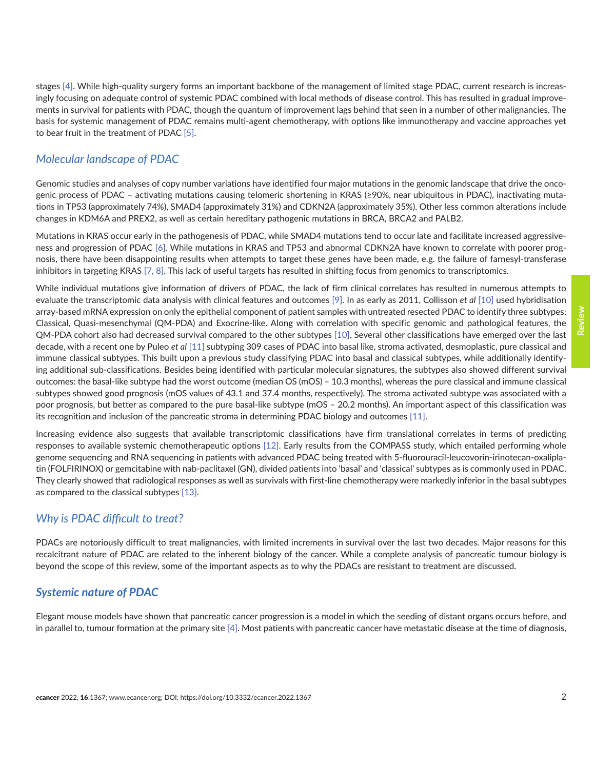stages [\[4\]](#page-13-0). While high-quality surgery forms an important backbone of the management of limited stage PDAC, current research is increasingly focusing on adequate control of systemic PDAC combined with local methods of disease control. This has resulted in gradual improvements in survival for patients with PDAC, though the quantum of improvement lags behind that seen in a number of other malignancies. The basis for systemic management of PDAC remains multi-agent chemotherapy, with options like immunotherapy and vaccine approaches yet to bear fruit in the treatment of PDAC [\[5\].](#page-13-0)

# *Molecular landscape of PDAC*

Genomic studies and analyses of copy number variations have identified four major mutations in the genomic landscape that drive the oncogenic process of PDAC – activating mutations causing telomeric shortening in KRAS (≥90%, near ubiquitous in PDAC), inactivating mutations in TP53 (approximately 74%), SMAD4 (approximately 31%) and CDKN2A (approximately 35%). Other less common alterations include changes in KDM6A and PREX2, as well as certain hereditary pathogenic mutations in BRCA, BRCA2 and PALB2.

Mutations in KRAS occur early in the pathogenesis of PDAC, while SMAD4 mutations tend to occur late and facilitate increased aggressiveness and progression of PDAC [\[6\]](#page-13-0). While mutations in KRAS and TP53 and abnormal CDKN2A have known to correlate with poorer prognosis, there have been disappointing results when attempts to target these genes have been made, e.g. the failure of farnesyl-transferase inhibitors in targeting KRAS [\[7,](#page-13-0) [8\].](#page-13-0) This lack of useful targets has resulted in shifting focus from genomics to transcriptomics.

While individual mutations give information of drivers of PDAC, the lack of firm clinical correlates has resulted in numerous attempts to evaluate the transcriptomic data analysis with clinical features and outcomes [\[9\]](#page-13-0). In as early as 2011, Collisson *et al* [\[10\]](#page-13-0) used hybridisation array-based mRNA expression on only the epithelial component of patient samples with untreated resected PDAC to identify three subtypes: Classical, Quasi-mesenchymal (QM-PDA) and Exocrine-like. Along with correlation with specific genomic and pathological features, the QM-PDA cohort also had decreased survival compared to the other subtypes [\[10\]](#page-13-0). Several other classifications have emerged over the last decade, with a recent one by Puleo *et al* [\[11\]](#page-13-0) subtyping 309 cases of PDAC into basal like, stroma activated, desmoplastic, pure classical and immune classical subtypes. This built upon a previous study classifying PDAC into basal and classical subtypes, while additionally identifying additional sub-classifications. Besides being identified with particular molecular signatures, the subtypes also showed different survival outcomes: the basal-like subtype had the worst outcome (median OS (mOS) – 10.3 months), whereas the pure classical and immune classical subtypes showed good prognosis (mOS values of 43.1 and 37.4 months, respectively). The stroma activated subtype was associated with a poor prognosis, but better as compared to the pure basal-like subtype (mOS – 20.2 months). An important aspect of this classification was its recognition and inclusion of the pancreatic stroma in determining PDAC biology and outcomes [\[11\].](#page-13-0)

Increasing evidence also suggests that available transcriptomic classifications have firm translational correlates in terms of predicting responses to available systemic chemotherapeutic options [\[12\]](#page-13-0). Early results from the COMPASS study, which entailed performing whole genome sequencing and RNA sequencing in patients with advanced PDAC being treated with 5-fluorouracil-leucovorin-irinotecan-oxaliplatin (FOLFIRINOX) or gemcitabine with nab-paclitaxel (GN), divided patients into 'basal' and 'classical' subtypes as is commonly used in PDAC. They clearly showed that radiological responses as well as survivals with first-line chemotherapy were markedly inferior in the basal subtypes as compared to the classical subtypes [\[13\].](#page-13-0)

## *Why is PDAC difficult to treat?*

PDACs are notoriously difficult to treat malignancies, with limited increments in survival over the last two decades. Major reasons for this recalcitrant nature of PDAC are related to the inherent biology of the cancer. While a complete analysis of pancreatic tumour biology is beyond the scope of this review, some of the important aspects as to why the PDACs are resistant to treatment are discussed.

## *Systemic nature of PDAC*

Elegant mouse models have shown that pancreatic cancer progression is a model in which the seeding of distant organs occurs before, and in parallel to, tumour formation at the primary site [\[4\].](#page-13-0) Most patients with pancreatic cancer have metastatic disease at the time of diagnosis,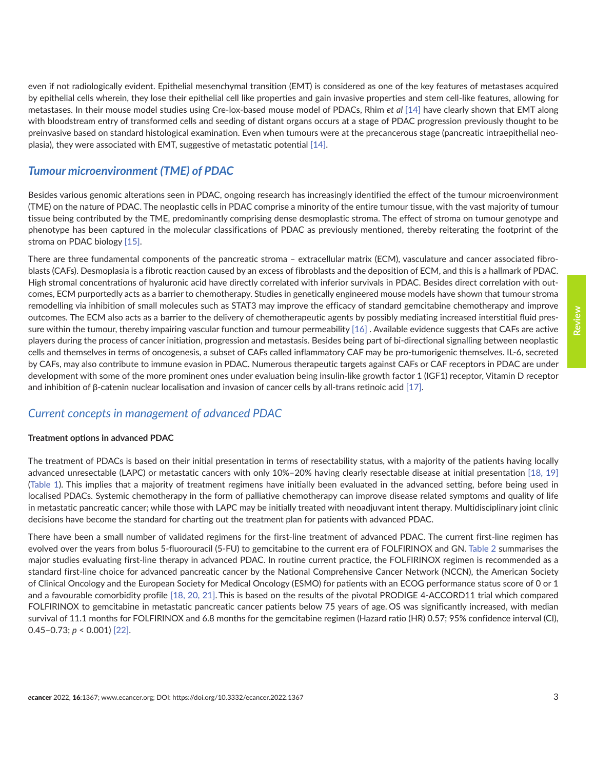even if not radiologically evident. Epithelial mesenchymal transition (EMT) is considered as one of the key features of metastases acquired by epithelial cells wherein, they lose their epithelial cell like properties and gain invasive properties and stem cell-like features, allowing for metastases. In their mouse model studies using Cre-lox-based mouse model of PDACs, Rhim *et al* [\[14\]](#page-13-0) have clearly shown that EMT along with bloodstream entry of transformed cells and seeding of distant organs occurs at a stage of PDAC progression previously thought to be preinvasive based on standard histological examination. Even when tumours were at the precancerous stage (pancreatic intraepithelial neoplasia), they were associated with EMT, suggestive of metastatic potential [\[14\]](#page-13-0).

# *Tumour microenvironment (TME) of PDAC*

Besides various genomic alterations seen in PDAC, ongoing research has increasingly identified the effect of the tumour microenvironment (TME) on the nature of PDAC. The neoplastic cells in PDAC comprise a minority of the entire tumour tissue, with the vast majority of tumour tissue being contributed by the TME, predominantly comprising dense desmoplastic stroma. The effect of stroma on tumour genotype and phenotype has been captured in the molecular classifications of PDAC as previously mentioned, thereby reiterating the footprint of the stroma on PDAC biology [\[15\]](#page-13-0).

There are three fundamental components of the pancreatic stroma – extracellular matrix (ECM), vasculature and cancer associated fibroblasts (CAFs). Desmoplasia is a fibrotic reaction caused by an excess of fibroblasts and the deposition of ECM, and this is a hallmark of PDAC. High stromal concentrations of hyaluronic acid have directly correlated with inferior survivals in PDAC. Besides direct correlation with outcomes, ECM purportedly acts as a barrier to chemotherapy. Studies in genetically engineered mouse models have shown that tumour stroma remodelling via inhibition of small molecules such as STAT3 may improve the efficacy of standard gemcitabine chemotherapy and improve outcomes. The ECM also acts as a barrier to the delivery of chemotherapeutic agents by possibly mediating increased interstitial fluid pressure within the tumour, thereby impairing vascular function and tumour permeability [\[16\]](#page-13-0) . Available evidence suggests that CAFs are active players during the process of cancer initiation, progression and metastasis. Besides being part of bi-directional signalling between neoplastic cells and themselves in terms of oncogenesis, a subset of CAFs called inflammatory CAF may be pro-tumorigenic themselves. IL-6, secreted by CAFs, may also contribute to immune evasion in PDAC. Numerous therapeutic targets against CAFs or CAF receptors in PDAC are under development with some of the more prominent ones under evaluation being insulin-like growth factor 1 (IGF1) receptor, Vitamin D receptor and inhibition of β-catenin nuclear localisation and invasion of cancer cells by all-trans retinoic acid [\[17\].](#page-13-0)

## *Current concepts in management of advanced PDAC*

### **Treatment options in advanced PDAC**

The treatment of PDACs is based on their initial presentation in terms of resectability status, with a majority of the patients having locally advanced unresectable (LAPC) or metastatic cancers with only 10%–20% having clearly resectable disease at initial presentation [\[18,](#page-13-0) [19\]](#page-14-0) [\(Table 1\)](#page-3-0). This implies that a majority of treatment regimens have initially been evaluated in the advanced setting, before being used in localised PDACs. Systemic chemotherapy in the form of palliative chemotherapy can improve disease related symptoms and quality of life in metastatic pancreatic cancer; while those with LAPC may be initially treated with neoadjuvant intent therapy. Multidisciplinary joint clinic decisions have become the standard for charting out the treatment plan for patients with advanced PDAC.

There have been a small number of validated regimens for the first-line treatment of advanced PDAC. The current first-line regimen has evolved over the years from bolus 5-fluorouracil (5-FU) to gemcitabine to the current era of FOLFIRINOX and GN. [Table 2](#page-4-0) summarises the major studies evaluating first-line therapy in advanced PDAC. In routine current practice, the FOLFIRINOX regimen is recommended as a standard first-line choice for advanced pancreatic cancer by the National Comprehensive Cancer Network (NCCN), the American Society of Clinical Oncology and the European Society for Medical Oncology (ESMO) for patients with an ECOG performance status score of 0 or 1 and a favourable comorbidity profile [\[18,](#page-13-0) [20, 21\].](#page-14-0) This is based on the results of the pivotal PRODIGE 4-ACCORD11 trial which compared FOLFIRINOX to gemcitabine in metastatic pancreatic cancer patients below 75 years of age. OS was significantly increased, with median survival of 11.1 months for FOLFIRINOX and 6.8 months for the gemcitabine regimen (Hazard ratio (HR) 0.57; 95% confidence interval (CI), 0.45–0.73; *p* < 0.001) [\[22\].](#page-14-0)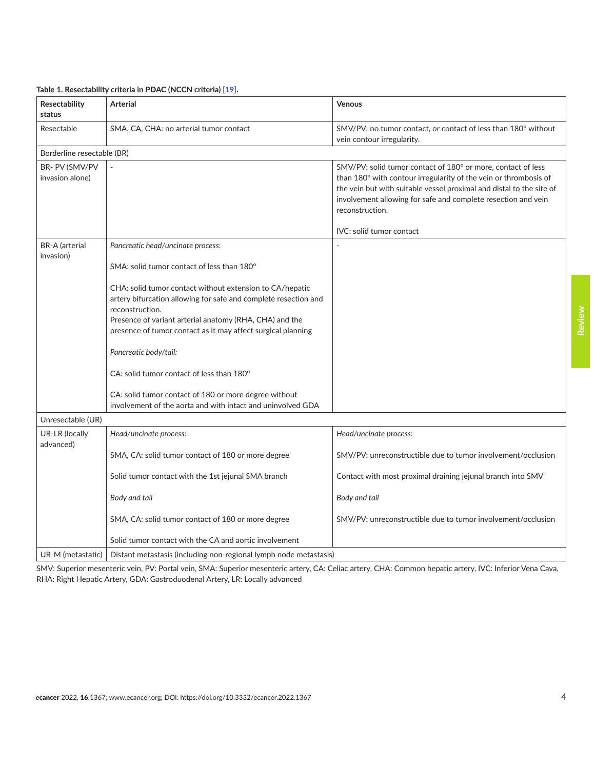| Resectability<br>status            | <b>Arterial</b>                                                                                                                                                                                                                                                                                                                                 | <b>Venous</b>                                                                                                                                                                                                                                                                                |  |  |  |  |
|------------------------------------|-------------------------------------------------------------------------------------------------------------------------------------------------------------------------------------------------------------------------------------------------------------------------------------------------------------------------------------------------|----------------------------------------------------------------------------------------------------------------------------------------------------------------------------------------------------------------------------------------------------------------------------------------------|--|--|--|--|
| Resectable                         | SMA, CA, CHA: no arterial tumor contact                                                                                                                                                                                                                                                                                                         | SMV/PV: no tumor contact, or contact of less than 180° without<br>vein contour irregularity.                                                                                                                                                                                                 |  |  |  |  |
| Borderline resectable (BR)         |                                                                                                                                                                                                                                                                                                                                                 |                                                                                                                                                                                                                                                                                              |  |  |  |  |
| BR- PV (SMV/PV<br>invasion alone)  |                                                                                                                                                                                                                                                                                                                                                 | SMV/PV: solid tumor contact of 180° or more, contact of less<br>than 180° with contour irregularity of the vein or thrombosis of<br>the vein but with suitable vessel proximal and distal to the site of<br>involvement allowing for safe and complete resection and vein<br>reconstruction. |  |  |  |  |
|                                    |                                                                                                                                                                                                                                                                                                                                                 | IVC: solid tumor contact                                                                                                                                                                                                                                                                     |  |  |  |  |
| <b>BR-A</b> (arterial<br>invasion) | Pancreatic head/uncinate process:                                                                                                                                                                                                                                                                                                               |                                                                                                                                                                                                                                                                                              |  |  |  |  |
|                                    | SMA: solid tumor contact of less than 180°                                                                                                                                                                                                                                                                                                      |                                                                                                                                                                                                                                                                                              |  |  |  |  |
|                                    | CHA: solid tumor contact without extension to CA/hepatic<br>artery bifurcation allowing for safe and complete resection and<br>reconstruction.<br>Presence of variant arterial anatomy (RHA, CHA) and the<br>presence of tumor contact as it may affect surgical planning<br>Pancreatic body/tail:<br>CA: solid tumor contact of less than 180° |                                                                                                                                                                                                                                                                                              |  |  |  |  |
|                                    | CA: solid tumor contact of 180 or more degree without<br>involvement of the aorta and with intact and uninvolved GDA                                                                                                                                                                                                                            |                                                                                                                                                                                                                                                                                              |  |  |  |  |
| Unresectable (UR)                  |                                                                                                                                                                                                                                                                                                                                                 |                                                                                                                                                                                                                                                                                              |  |  |  |  |
| UR-LR (locally                     | Head/uncinate process:                                                                                                                                                                                                                                                                                                                          | Head/uncinate process:                                                                                                                                                                                                                                                                       |  |  |  |  |
| advanced)                          | SMA, CA: solid tumor contact of 180 or more degree                                                                                                                                                                                                                                                                                              | SMV/PV: unreconstructible due to tumor involvement/occlusion                                                                                                                                                                                                                                 |  |  |  |  |
|                                    | Solid tumor contact with the 1st jejunal SMA branch                                                                                                                                                                                                                                                                                             | Contact with most proximal draining jejunal branch into SMV                                                                                                                                                                                                                                  |  |  |  |  |
|                                    | Body and tail                                                                                                                                                                                                                                                                                                                                   | Body and tail                                                                                                                                                                                                                                                                                |  |  |  |  |
|                                    | SMA, CA: solid tumor contact of 180 or more degree                                                                                                                                                                                                                                                                                              | SMV/PV: unreconstructible due to tumor involvement/occlusion                                                                                                                                                                                                                                 |  |  |  |  |
|                                    | Solid tumor contact with the CA and aortic involvement                                                                                                                                                                                                                                                                                          |                                                                                                                                                                                                                                                                                              |  |  |  |  |
| UR-M (metastatic)                  | Distant metastasis (including non-regional lymph node metastasis)                                                                                                                                                                                                                                                                               |                                                                                                                                                                                                                                                                                              |  |  |  |  |

#### <span id="page-3-0"></span>**Table 1. Resectability criteria in PDAC (NCCN criteria) [\[19\].](#page-14-0)**

SMV: Superior mesenteric vein, PV: Portal vein, SMA: Superior mesenteric artery, CA: Celiac artery, CHA: Common hepatic artery, IVC: Inferior Vena Cava, RHA: Right Hepatic Artery, GDA: Gastroduodenal Artery, LR: Locally advanced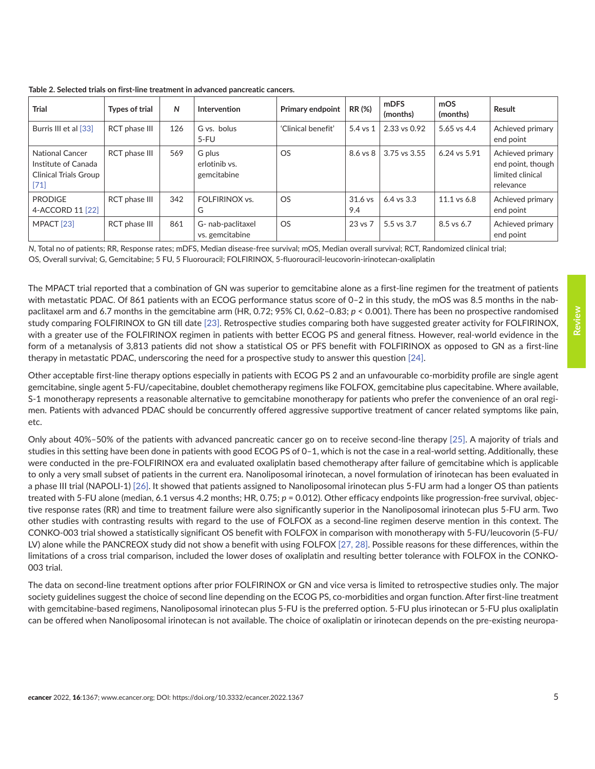| <b>Trial</b>                                                                            | <b>Types of trial</b> | N   | Intervention                           | <b>Primary endpoint</b> | RR (%)           | <b>mDFS</b><br>(months) | mOS<br>(months) | Result                                                                 |
|-----------------------------------------------------------------------------------------|-----------------------|-----|----------------------------------------|-------------------------|------------------|-------------------------|-----------------|------------------------------------------------------------------------|
| Burris III et al [33]                                                                   | RCT phase III         | 126 | G vs. bolus<br>$5-FU$                  | 'Clinical benefit'      | $5.4$ vs $1$     | 2.33 vs 0.92            | 5.65 vs 4.4     | Achieved primary<br>end point                                          |
| <b>National Cancer</b><br>Institute of Canada<br><b>Clinical Trials Group</b><br>$[71]$ | RCT phase III         | 569 | G plus<br>erlotinib vs.<br>gemcitabine | <b>OS</b>               | $8.6$ vs $8$     | 3.75 vs 3.55            | 6.24 vs 5.91    | Achieved primary<br>end point, though<br>limited clinical<br>relevance |
| <b>PRODIGE</b><br>4-ACCORD 11 [22]                                                      | RCT phase III         | 342 | FOLFIRINOX vs.<br>G                    | OS.                     | $31.6$ vs<br>9.4 | $6.4$ vs $3.3$          | 11.1 vs 6.8     | Achieved primary<br>end point                                          |
| MPACT <sub>[23]</sub>                                                                   | <b>RCT</b> phase III  | 861 | G- nab-paclitaxel<br>vs. gemcitabine   | <b>OS</b>               | 23 vs 7          | 5.5 vs 3.7              | 8.5 vs 6.7      | Achieved primary<br>end point                                          |

<span id="page-4-0"></span>**Table 2. Selected trials on first-line treatment in advanced pancreatic cancers.**

*N*, Total no of patients; RR, Response rates; mDFS, Median disease-free survival; mOS, Median overall survival; RCT, Randomized clinical trial; OS, Overall survival; G, Gemcitabine; 5 FU, 5 Fluorouracil; FOLFIRINOX, 5-fluorouracil-leucovorin-irinotecan-oxaliplatin

The MPACT trial reported that a combination of GN was superior to gemcitabine alone as a first-line regimen for the treatment of patients with metastatic PDAC. Of 861 patients with an ECOG performance status score of 0-2 in this study, the mOS was 8.5 months in the nabpaclitaxel arm and 6.7 months in the gemcitabine arm (HR, 0.72; 95% CI, 0.62–0.83; *p* < 0.001). There has been no prospective randomised study comparing FOLFIRINOX to GN till date [\[23\]](#page-14-0). Retrospective studies comparing both have suggested greater activity for FOLFIRINOX, with a greater use of the FOLFIRINOX regimen in patients with better ECOG PS and general fitness. However, real-world evidence in the form of a metanalysis of 3,813 patients did not show a statistical OS or PFS benefit with FOLFIRINOX as opposed to GN as a first-line therapy in metastatic PDAC, underscoring the need for a prospective study to answer this question [\[24\]](#page-14-0).

Other acceptable first-line therapy options especially in patients with ECOG PS 2 and an unfavourable co-morbidity profile are single agent gemcitabine, single agent 5-FU/capecitabine, doublet chemotherapy regimens like FOLFOX, gemcitabine plus capecitabine. Where available, S-1 monotherapy represents a reasonable alternative to gemcitabine monotherapy for patients who prefer the convenience of an oral regimen. Patients with advanced PDAC should be concurrently offered aggressive supportive treatment of cancer related symptoms like pain, etc.

Only about 40%–50% of the patients with advanced pancreatic cancer go on to receive second-line therapy [\[25\].](#page-14-0) A majority of trials and studies in this setting have been done in patients with good ECOG PS of 0–1, which is not the case in a real-world setting. Additionally, these were conducted in the pre-FOLFIRINOX era and evaluated oxaliplatin based chemotherapy after failure of gemcitabine which is applicable to only a very small subset of patients in the current era. Nanoliposomal irinotecan, a novel formulation of irinotecan has been evaluated in a phase III trial (NAPOLI-1) [\[26\].](#page-14-0) It showed that patients assigned to Nanoliposomal irinotecan plus 5-FU arm had a longer OS than patients treated with 5-FU alone (median, 6.1 versus 4.2 months; HR, 0.75; *p* = 0.012). Other efficacy endpoints like progression-free survival, objective response rates (RR) and time to treatment failure were also significantly superior in the Nanoliposomal irinotecan plus 5-FU arm. Two other studies with contrasting results with regard to the use of FOLFOX as a second-line regimen deserve mention in this context. The CONKO-003 trial showed a statistically significant OS benefit with FOLFOX in comparison with monotherapy with 5-FU/leucovorin (5-FU/ LV) alone while the PANCREOX study did not show a benefit with using FOLFOX [\[27,](#page-14-0) [28\].](#page-14-0) Possible reasons for these differences, within the limitations of a cross trial comparison, included the lower doses of oxaliplatin and resulting better tolerance with FOLFOX in the CONKO-003 trial.

The data on second-line treatment options after prior FOLFIRINOX or GN and vice versa is limited to retrospective studies only. The major society guidelines suggest the choice of second line depending on the ECOG PS, co-morbidities and organ function.After first-line treatment with gemcitabine-based regimens, Nanoliposomal irinotecan plus 5-FU is the preferred option. 5-FU plus irinotecan or 5-FU plus oxaliplatin can be offered when Nanoliposomal irinotecan is not available. The choice of oxaliplatin or irinotecan depends on the pre-existing neuropa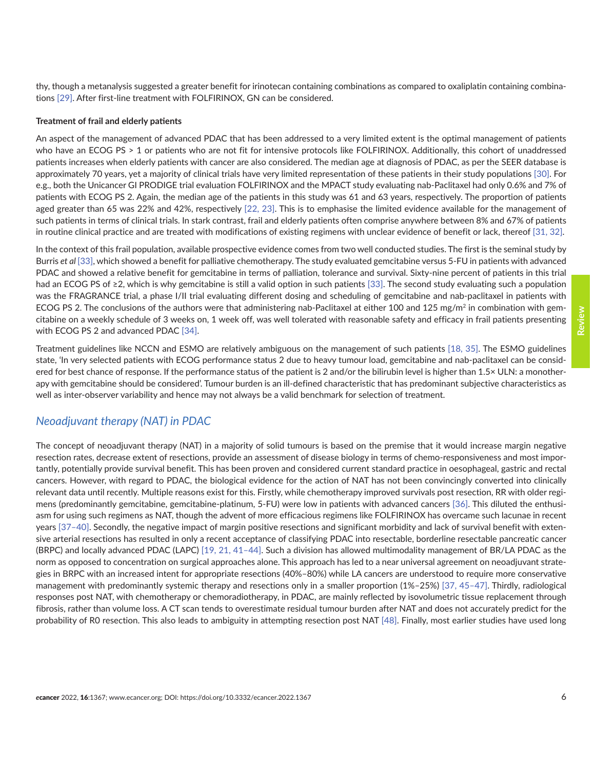thy, though a metanalysis suggested a greater benefit for irinotecan containing combinations as compared to oxaliplatin containing combinations [\[29\].](#page-14-0) After first-line treatment with FOLFIRINOX, GN can be considered.

#### **Treatment of frail and elderly patients**

An aspect of the management of advanced PDAC that has been addressed to a very limited extent is the optimal management of patients who have an ECOG PS > 1 or patients who are not fit for intensive protocols like FOLFIRINOX. Additionally, this cohort of unaddressed patients increases when elderly patients with cancer are also considered. The median age at diagnosis of PDAC, as per the SEER database is approximately 70 years, yet a majority of clinical trials have very limited representation of these patients in their study populations [\[30\].](#page-14-0) For e.g., both the Unicancer GI PRODIGE trial evaluation FOLFIRINOX and the MPACT study evaluating nab-Paclitaxel had only 0.6% and 7% of patients with ECOG PS 2. Again, the median age of the patients in this study was 61 and 63 years, respectively. The proportion of patients aged greater than 65 was 22% and 42%, respectively [\[22, 23\].](#page-14-0) This is to emphasise the limited evidence available for the management of such patients in terms of clinical trials. In stark contrast, frail and elderly patients often comprise anywhere between 8% and 67% of patients in routine clinical practice and are treated with modifications of existing regimens with unclear evidence of benefit or lack, thereof [\[31, 32\]](#page-14-0).

In the context of this frail population, available prospective evidence comes from two well conducted studies. The first is the seminal study by Burris *et al* [\[33\],](#page-14-0) which showed a benefit for palliative chemotherapy. The study evaluated gemcitabine versus 5-FU in patients with advanced PDAC and showed a relative benefit for gemcitabine in terms of palliation, tolerance and survival. Sixty-nine percent of patients in this trial had an ECOG PS of ≥2, which is why gemcitabine is still a valid option in such patients [\[33\]](#page-14-0). The second study evaluating such a population was the FRAGRANCE trial, a phase I/II trial evaluating different dosing and scheduling of gemcitabine and nab-paclitaxel in patients with ECOG PS 2. The conclusions of the authors were that administering nab-Paclitaxel at either 100 and 125 mg/m<sup>2</sup> in combination with gemcitabine on a weekly schedule of 3 weeks on, 1 week off, was well tolerated with reasonable safety and efficacy in frail patients presenting with ECOG PS 2 and advanced PDAC [\[34\].](#page-14-0)

Treatment guidelines like NCCN and ESMO are relatively ambiguous on the management of such patients [\[18,](#page-13-0) [35\]](#page-15-0). The ESMO guidelines state, 'In very selected patients with ECOG performance status 2 due to heavy tumour load, gemcitabine and nab-paclitaxel can be considered for best chance of response. If the performance status of the patient is 2 and/or the bilirubin level is higher than 1.5× ULN: a monotherapy with gemcitabine should be considered'. Tumour burden is an ill-defined characteristic that has predominant subjective characteristics as well as inter-observer variability and hence may not always be a valid benchmark for selection of treatment.

### *Neoadjuvant therapy (NAT) in PDAC*

The concept of neoadjuvant therapy (NAT) in a majority of solid tumours is based on the premise that it would increase margin negative resection rates, decrease extent of resections, provide an assessment of disease biology in terms of chemo-responsiveness and most importantly, potentially provide survival benefit. This has been proven and considered current standard practice in oesophageal, gastric and rectal cancers. However, with regard to PDAC, the biological evidence for the action of NAT has not been convincingly converted into clinically relevant data until recently. Multiple reasons exist for this. Firstly, while chemotherapy improved survivals post resection, RR with older regimens (predominantly gemcitabine, gemcitabine-platinum, 5-FU) were low in patients with advanced cancers [\[36\].](#page-15-0) This diluted the enthusiasm for using such regimens as NAT, though the advent of more efficacious regimens like FOLFIRINOX has overcame such lacunae in recent years [\[37–40\].](#page-15-0) Secondly, the negative impact of margin positive resections and significant morbidity and lack of survival benefit with extensive arterial resections has resulted in only a recent acceptance of classifying PDAC into resectable, borderline resectable pancreatic cancer (BRPC) and locally advanced PDAC (LAPC) [\[19, 21,](#page-14-0) [41–44\].](#page-15-0) Such a division has allowed multimodality management of BR/LA PDAC as the norm as opposed to concentration on surgical approaches alone. This approach has led to a near universal agreement on neoadjuvant strategies in BRPC with an increased intent for appropriate resections (40%–80%) while LA cancers are understood to require more conservative management with predominantly systemic therapy and resections only in a smaller proportion (1%–25%) [\[37,](#page-15-0) [45–47\].](#page-15-0) Thirdly, radiological responses post NAT, with chemotherapy or chemoradiotherapy, in PDAC, are mainly reflected by isovolumetric tissue replacement through fibrosis, rather than volume loss. A CT scan tends to overestimate residual tumour burden after NAT and does not accurately predict for the probability of R0 resection. This also leads to ambiguity in attempting resection post NAT [\[48\].](#page-15-0) Finally, most earlier studies have used long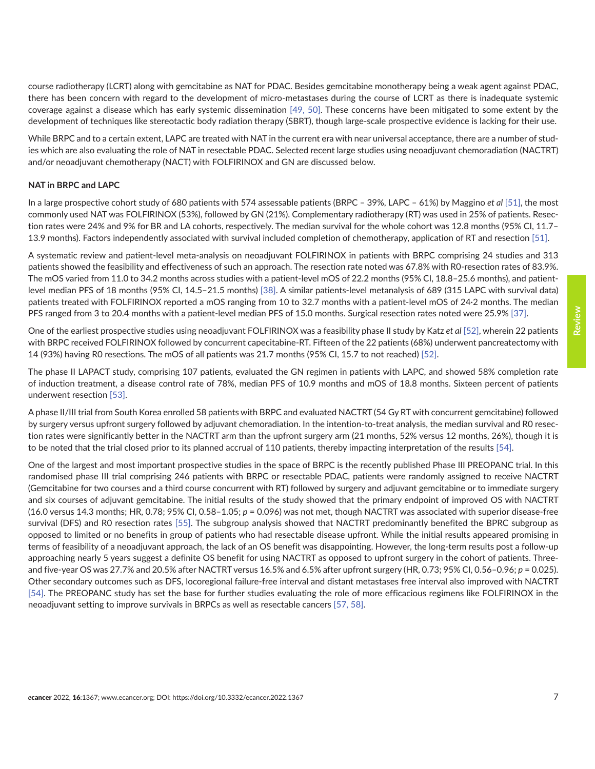course radiotherapy (LCRT) along with gemcitabine as NAT for PDAC. Besides gemcitabine monotherapy being a weak agent against PDAC, there has been concern with regard to the development of micro-metastases during the course of LCRT as there is inadequate systemic coverage against a disease which has early systemic dissemination [\[49, 50\].](#page-15-0) These concerns have been mitigated to some extent by the development of techniques like stereotactic body radiation therapy (SBRT), though large-scale prospective evidence is lacking for their use.

While BRPC and to a certain extent, LAPC are treated with NAT in the current era with near universal acceptance, there are a number of studies which are also evaluating the role of NAT in resectable PDAC. Selected recent large studies using neoadjuvant chemoradiation (NACTRT) and/or neoadjuvant chemotherapy (NACT) with FOLFIRINOX and GN are discussed below.

### **NAT in BRPC and LAPC**

In a large prospective cohort study of 680 patients with 574 assessable patients (BRPC – 39%, LAPC – 61%) by Maggino *et al* [\[51\],](#page-15-0) the most commonly used NAT was FOLFIRINOX (53%), followed by GN (21%). Complementary radiotherapy (RT) was used in 25% of patients. Resection rates were 24% and 9% for BR and LA cohorts, respectively. The median survival for the whole cohort was 12.8 months (95% CI, 11.7– 13.9 months). Factors independently associated with survival included completion of chemotherapy, application of RT and resection [\[51\].](#page-15-0)

A systematic review and patient-level meta-analysis on neoadjuvant FOLFIRINOX in patients with BRPC comprising 24 studies and 313 patients showed the feasibility and effectiveness of such an approach. The resection rate noted was 67.8% with R0-resection rates of 83.9%. The mOS varied from 11.0 to 34.2 months across studies with a patient-level mOS of 22.2 months (95% CI, 18.8–25.6 months), and patientlevel median PFS of 18 months (95% CI, 14.5–21.5 months) [\[38\]](#page-15-0). A similar patients-level metanalysis of 689 (315 LAPC with survival data) patients treated with FOLFIRINOX reported a mOS ranging from 10 to 32.7 months with a patient-level mOS of 24·2 months. The median PFS ranged from 3 to 20.4 months with a patient-level median PFS of 15.0 months. Surgical resection rates noted were 25.9% [\[37\].](#page-15-0)

One of the earliest prospective studies using neoadjuvant FOLFIRINOX was a feasibility phase II study by Katz *et al* [\[52\]](#page-16-0), wherein 22 patients with BRPC received FOLFIRINOX followed by concurrent capecitabine-RT. Fifteen of the 22 patients (68%) underwent pancreatectomy with 14 (93%) having R0 resections. The mOS of all patients was 21.7 months (95% CI, 15.7 to not reached) [\[52\].](#page-16-0)

The phase II LAPACT study, comprising 107 patients, evaluated the GN regimen in patients with LAPC, and showed 58% completion rate of induction treatment, a disease control rate of 78%, median PFS of 10.9 months and mOS of 18.8 months. Sixteen percent of patients underwent resection [\[53\].](#page-16-0)

A phase II/III trial from South Korea enrolled 58 patients with BRPC and evaluated NACTRT (54 Gy RT with concurrent gemcitabine) followed by surgery versus upfront surgery followed by adjuvant chemoradiation. In the intention-to-treat analysis, the median survival and R0 resection rates were significantly better in the NACTRT arm than the upfront surgery arm (21 months, 52% versus 12 months, 26%), though it is to be noted that the trial closed prior to its planned accrual of 110 patients, thereby impacting interpretation of the results [\[54\].](#page-16-0)

One of the largest and most important prospective studies in the space of BRPC is the recently published Phase III PREOPANC trial. In this randomised phase III trial comprising 246 patients with BRPC or resectable PDAC, patients were randomly assigned to receive NACTRT (Gemcitabine for two courses and a third course concurrent with RT) followed by surgery and adjuvant gemcitabine or to immediate surgery and six courses of adjuvant gemcitabine. The initial results of the study showed that the primary endpoint of improved OS with NACTRT (16.0 versus 14.3 months; HR, 0.78; 95% CI, 0.58–1.05; *p* = 0.096) was not met, though NACTRT was associated with superior disease-free survival (DFS) and R0 resection rates [\[55\]](#page-16-0). The subgroup analysis showed that NACTRT predominantly benefited the BPRC subgroup as opposed to limited or no benefits in group of patients who had resectable disease upfront. While the initial results appeared promising in terms of feasibility of a neoadjuvant approach, the lack of an OS benefit was disappointing. However, the long-term results post a follow-up approaching nearly 5 years suggest a definite OS benefit for using NACTRT as opposed to upfront surgery in the cohort of patients. Threeand five-year OS was 27.7% and 20.5% after NACTRT versus 16.5% and 6.5% after upfront surgery (HR, 0.73; 95% CI, 0.56–0.96; *p* = 0.025). Other secondary outcomes such as DFS, locoregional failure-free interval and distant metastases free interval also improved with NACTRT [\[54\].](#page-16-0) The PREOPANC study has set the base for further studies evaluating the role of more efficacious regimens like FOLFIRINOX in the neoadjuvant setting to improve survivals in BRPCs as well as resectable cancers [\[57, 58\]](#page-16-0).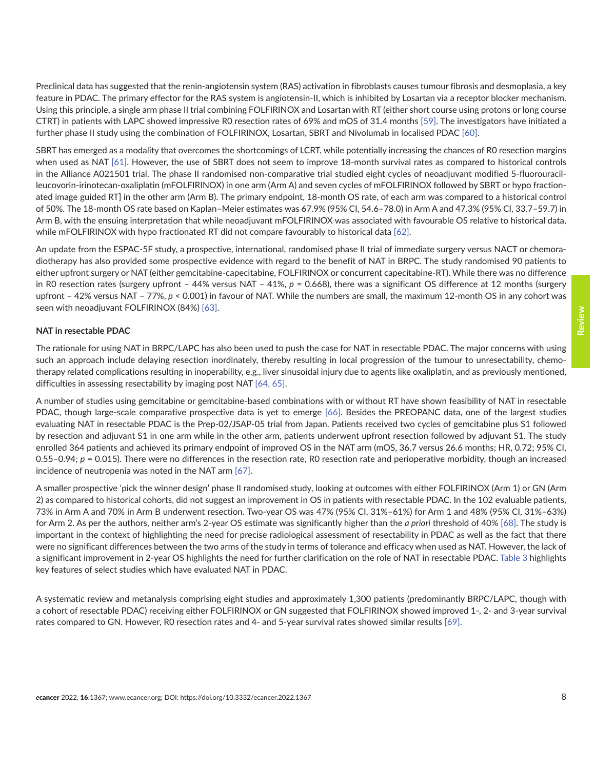Preclinical data has suggested that the renin-angiotensin system (RAS) activation in fibroblasts causes tumour fibrosis and desmoplasia, a key feature in PDAC. The primary effector for the RAS system is angiotensin-II, which is inhibited by Losartan via a receptor blocker mechanism. Using this principle, a single arm phase II trial combining FOLFIRINOX and Losartan with RT (either short course using protons or long course CTRT) in patients with LAPC showed impressive R0 resection rates of 69% and mOS of 31.4 months [\[59\]](#page-16-0). The investigators have initiated a further phase II study using the combination of FOLFIRINOX, Losartan, SBRT and Nivolumab in localised PDAC [\[60\]](#page-16-0).

SBRT has emerged as a modality that overcomes the shortcomings of LCRT, while potentially increasing the chances of R0 resection margins when used as NAT [\[61\].](#page-16-0) However, the use of SBRT does not seem to improve 18-month survival rates as compared to historical controls in the Alliance A021501 trial. The phase II randomised non-comparative trial studied eight cycles of neoadjuvant modified 5-fluorouracilleucovorin-irinotecan-oxaliplatin (mFOLFIRINOX) in one arm (Arm A) and seven cycles of mFOLFIRINOX followed by SBRT or hypo fractionated image guided RT] in the other arm (Arm B). The primary endpoint, 18-month OS rate, of each arm was compared to a historical control of 50%. The 18-month OS rate based on Kaplan–Meier estimates was 67.9% (95% CI, 54.6–78.0) in Arm A and 47.3% (95% CI, 33.7–59.7) in Arm B, with the ensuing interpretation that while neoadjuvant mFOLFIRINOX was associated with favourable OS relative to historical data, while mFOLFIRINOX with hypo fractionated RT did not compare favourably to historical data [\[62\]](#page-16-0).

An update from the ESPAC-5F study, a prospective, international, randomised phase II trial of immediate surgery versus NACT or chemoradiotherapy has also provided some prospective evidence with regard to the benefit of NAT in BRPC. The study randomised 90 patients to either upfront surgery or NAT (either gemcitabine-capecitabine, FOLFIRINOX or concurrent capecitabine-RT). While there was no difference in R0 resection rates (surgery upfront – 44% versus NAT – 41%, *p* = 0.668), there was a significant OS difference at 12 months (surgery upfront – 42% versus NAT – 77%, *p* < 0.001) in favour of NAT. While the numbers are small, the maximum 12-month OS in any cohort was seen with neoadjuvant FOLFIRINOX (84%) [\[63\].](#page-16-0)

### **NAT in resectable PDAC**

The rationale for using NAT in BRPC/LAPC has also been used to push the case for NAT in resectable PDAC. The major concerns with using such an approach include delaying resection inordinately, thereby resulting in local progression of the tumour to unresectability, chemotherapy related complications resulting in inoperability, e.g., liver sinusoidal injury due to agents like oxaliplatin, and as previously mentioned, difficulties in assessing resectability by imaging post NAT [\[64, 65\]](#page-16-0).

A number of studies using gemcitabine or gemcitabine-based combinations with or without RT have shown feasibility of NAT in resectable PDAC, though large-scale comparative prospective data is yet to emerge [\[66\].](#page-17-0) Besides the PREOPANC data, one of the largest studies evaluating NAT in resectable PDAC is the Prep-02/JSAP-05 trial from Japan. Patients received two cycles of gemcitabine plus S1 followed by resection and adjuvant S1 in one arm while in the other arm, patients underwent upfront resection followed by adjuvant S1. The study enrolled 364 patients and achieved its primary endpoint of improved OS in the NAT arm (mOS, 36.7 versus 26.6 months; HR, 0.72; 95% CI, 0.55–0.94; *p* = 0.015). There were no differences in the resection rate, R0 resection rate and perioperative morbidity, though an increased incidence of neutropenia was noted in the NAT arm [\[67\].](#page-17-0)

A smaller prospective 'pick the winner design' phase II randomised study, looking at outcomes with either FOLFIRINOX (Arm 1) or GN (Arm 2) as compared to historical cohorts, did not suggest an improvement in OS in patients with resectable PDAC. In the 102 evaluable patients, 73% in Arm A and 70% in Arm B underwent resection. Two-year OS was 47% (95% CI, 31%–61%) for Arm 1 and 48% (95% CI, 31%–63%) for Arm 2. As per the authors, neither arm's 2-year OS estimate was significantly higher than the *a priori* threshold of 40% [\[68\]](#page-17-0). The study is important in the context of highlighting the need for precise radiological assessment of resectability in PDAC as well as the fact that there were no significant differences between the two arms of the study in terms of tolerance and efficacy when used as NAT. However, the lack of a significant improvement in 2-year OS highlights the need for further clarification on the role of NAT in resectable PDAC. [Table 3](#page-8-0) highlights key features of select studies which have evaluated NAT in PDAC.

A systematic review and metanalysis comprising eight studies and approximately 1,300 patients (predominantly BRPC/LAPC, though with a cohort of resectable PDAC) receiving either FOLFIRINOX or GN suggested that FOLFIRINOX showed improved 1-, 2- and 3-year survival rates compared to GN. However, R0 resection rates and 4- and 5-year survival rates showed similar results [\[69\].](#page-17-0)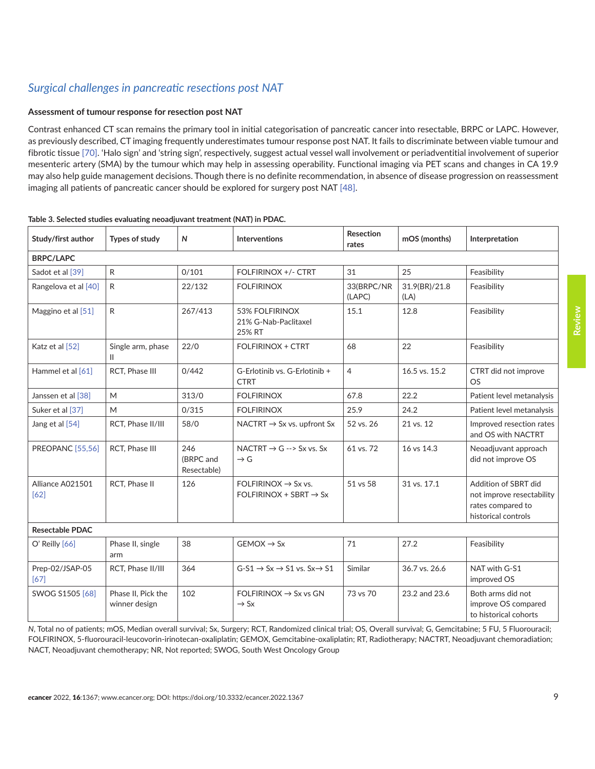# <span id="page-8-0"></span>*Surgical challenges in pancreatic resections post NAT*

### **Assessment of tumour response for resection post NAT**

Contrast enhanced CT scan remains the primary tool in initial categorisation of pancreatic cancer into resectable, BRPC or LAPC. However, as previously described, CT imaging frequently underestimates tumour response post NAT. It fails to discriminate between viable tumour and fibrotic tissue [\[70\]](#page-17-0). 'Halo sign' and 'string sign', respectively, suggest actual vessel wall involvement or periadventitial involvement of superior mesenteric artery (SMA) by the tumour which may help in assessing operability. Functional imaging via PET scans and changes in CA 19.9 may also help guide management decisions. Though there is no definite recommendation, in absence of disease progression on reassessment imaging all patients of pancreatic cancer should be explored for surgery post NAT [\[48\].](#page-15-0)

| Study/first author       | Types of study                      | $\mathsf{N}$                    | <b>Interventions</b>                                                  | <b>Resection</b><br>rates | mOS (months)          | Interpretation                                                                                |  |  |
|--------------------------|-------------------------------------|---------------------------------|-----------------------------------------------------------------------|---------------------------|-----------------------|-----------------------------------------------------------------------------------------------|--|--|
| <b>BRPC/LAPC</b>         |                                     |                                 |                                                                       |                           |                       |                                                                                               |  |  |
| Sadot et al [39]         | R                                   | 0/101                           | FOLFIRINOX +/- CTRT                                                   | 31                        | 25                    | Feasibility                                                                                   |  |  |
| Rangelova et al [40]     | R                                   | 22/132                          | <b>FOLFIRINOX</b>                                                     | 33(BRPC/NR<br>(LAPC)      | 31.9(BR)/21.8<br>(LA) | Feasibility                                                                                   |  |  |
| Maggino et al [51]       | R                                   | 267/413                         | 53% FOLFIRINOX<br>21% G-Nab-Paclitaxel<br>25% RT                      | 15.1                      | 12.8                  | Feasibility                                                                                   |  |  |
| Katz et al [52]          | Single arm, phase<br>Ш              | 22/0                            | <b>FOLFIRINOX + CTRT</b>                                              | 68                        | 22                    | Feasibility                                                                                   |  |  |
| Hammel et al $[61]$      | RCT, Phase III                      | 0/442                           | G-Erlotinib vs. G-Erlotinib +<br><b>CTRT</b>                          | $\overline{4}$            | 16.5 vs. 15.2         | CTRT did not improve<br><b>OS</b>                                                             |  |  |
| Janssen et al [38]       | M                                   | 313/0                           | <b>FOLFIRINOX</b>                                                     | 67.8                      | 22.2                  | Patient level metanalysis                                                                     |  |  |
| Suker et al [37]         | M                                   | 0/315                           | <b>FOLFIRINOX</b>                                                     | 25.9                      | 24.2                  | Patient level metanalysis                                                                     |  |  |
| Jang et al [54]          | RCT, Phase II/III                   | 58/0                            | NACTRT $\rightarrow$ Sx vs. upfront Sx                                | 52 vs. 26                 | 21 vs. 12             | Improved resection rates<br>and OS with NACTRT                                                |  |  |
| <b>PREOPANC</b> [55,56]  | RCT. Phase III                      | 246<br>(BRPC and<br>Resectable) | NACTRT $\rightarrow$ G --> Sx vs. Sx<br>$\rightarrow$ G               | 61 vs. 72                 | 16 vs 14.3            | Neoadjuvant approach<br>did not improve OS                                                    |  |  |
| Alliance A021501<br>[62] | RCT, Phase II                       | 126                             | FOLFIRINOX $\rightarrow$ Sx vs.<br>$FOLFIRINOX + SBRT \rightarrow Sx$ | 51 vs 58                  | 31 vs. 17.1           | Addition of SBRT did<br>not improve resectability<br>rates compared to<br>historical controls |  |  |
| <b>Resectable PDAC</b>   |                                     |                                 |                                                                       |                           |                       |                                                                                               |  |  |
| $O'$ Reilly $[66]$       | Phase II, single<br>arm             | 38                              | $GEMOX \rightarrow SX$                                                | 71                        | 27.2                  | Feasibility                                                                                   |  |  |
| Prep-02/JSAP-05<br>[67]  | RCT, Phase II/III                   | 364                             | $G-S1 \rightarrow Sx \rightarrow S1$ vs. $Sx \rightarrow S1$          | Similar                   | 36.7 vs. 26.6         | NAT with G-S1<br>improved OS                                                                  |  |  |
| SWOG S1505 [68]          | Phase II, Pick the<br>winner design | 102                             | FOLFIRINOX $\rightarrow$ Sx vs GN<br>$\rightarrow$ Sx                 | 73 vs 70                  | 23.2 and 23.6         | Both arms did not<br>improve OS compared<br>to historical cohorts                             |  |  |

### **Table 3. Selected studies evaluating neoadjuvant treatment (NAT) in PDAC.**

*N*, Total no of patients; mOS, Median overall survival; Sx, Surgery; RCT, Randomized clinical trial; OS, Overall survival; G, Gemcitabine; 5 FU, 5 Fluorouracil; FOLFIRINOX, 5-fluorouracil-leucovorin-irinotecan-oxaliplatin; GEMOX, Gemcitabine-oxaliplatin; RT, Radiotherapy; NACTRT, Neoadjuvant chemoradiation; NACT, Neoadjuvant chemotherapy; NR, Not reported; SWOG, South West Oncology Group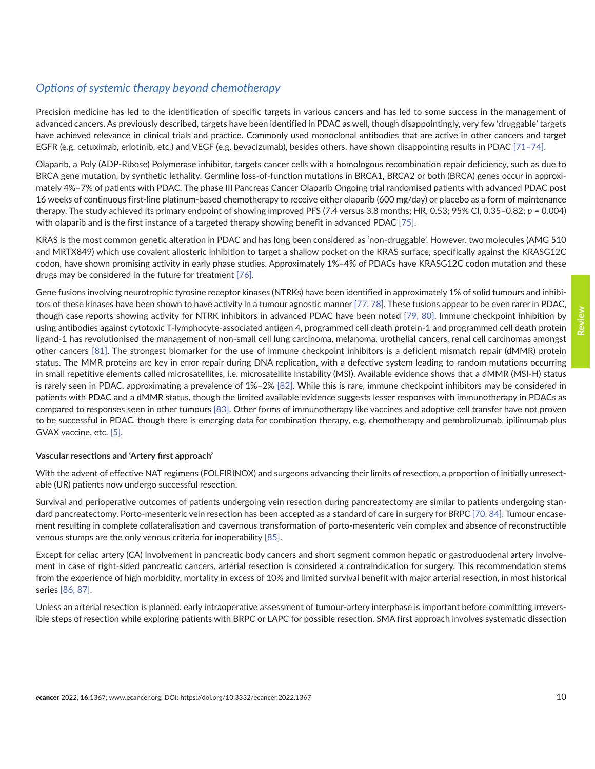# *Options of systemic therapy beyond chemotherapy*

Precision medicine has led to the identification of specific targets in various cancers and has led to some success in the management of advanced cancers. As previously described, targets have been identified in PDAC as well, though disappointingly, very few 'druggable' targets have achieved relevance in clinical trials and practice. Commonly used monoclonal antibodies that are active in other cancers and target EGFR (e.g. cetuximab, erlotinib, etc.) and VEGF (e.g. bevacizumab), besides others, have shown disappointing results in PDAC [\[71–74\].](#page-17-0)

Olaparib, a Poly (ADP-Ribose) Polymerase inhibitor, targets cancer cells with a homologous recombination repair deficiency, such as due to BRCA gene mutation, by synthetic lethality. Germline loss-of-function mutations in BRCA1, BRCA2 or both (BRCA) genes occur in approximately 4%–7% of patients with PDAC. The phase III Pancreas Cancer Olaparib Ongoing trial randomised patients with advanced PDAC post 16 weeks of continuous first-line platinum-based chemotherapy to receive either olaparib (600 mg/day) or placebo as a form of maintenance therapy. The study achieved its primary endpoint of showing improved PFS (7.4 versus 3.8 months; HR, 0.53; 95% CI, 0.35–0.82; *p* = 0.004) with olaparib and is the first instance of a targeted therapy showing benefit in advanced PDAC [\[75\]](#page-17-0).

KRAS is the most common genetic alteration in PDAC and has long been considered as 'non-druggable'. However, two molecules (AMG 510 and MRTX849) which use covalent allosteric inhibition to target a shallow pocket on the KRAS surface, specifically against the KRASG12C codon, have shown promising activity in early phase studies. Approximately 1%–4% of PDACs have KRASG12C codon mutation and these drugs may be considered in the future for treatment [\[76\]](#page-17-0).

Gene fusions involving neurotrophic tyrosine receptor kinases (NTRKs) have been identified in approximately 1% of solid tumours and inhibitors of these kinases have been shown to have activity in a tumour agnostic manner [\[77, 78\]](#page-17-0). These fusions appear to be even rarer in PDAC, though case reports showing activity for NTRK inhibitors in advanced PDAC have been noted [\[79, 80\]](#page-17-0). Immune checkpoint inhibition by using antibodies against cytotoxic T-lymphocyte-associated antigen 4, programmed cell death protein-1 and programmed cell death protein ligand-1 has revolutionised the management of non-small cell lung carcinoma, melanoma, urothelial cancers, renal cell carcinomas amongst other cancers [\[81\].](#page-17-0) The strongest biomarker for the use of immune checkpoint inhibitors is a deficient mismatch repair (dMMR) protein status. The MMR proteins are key in error repair during DNA replication, with a defective system leading to random mutations occurring in small repetitive elements called microsatellites, i.e. microsatellite instability (MSI). Available evidence shows that a dMMR (MSI-H) status is rarely seen in PDAC, approximating a prevalence of 1%–2% [\[82\]](#page-18-0). While this is rare, immune checkpoint inhibitors may be considered in patients with PDAC and a dMMR status, though the limited available evidence suggests lesser responses with immunotherapy in PDACs as compared to responses seen in other tumours [\[83\].](#page-18-0) Other forms of immunotherapy like vaccines and adoptive cell transfer have not proven to be successful in PDAC, though there is emerging data for combination therapy, e.g. chemotherapy and pembrolizumab, ipilimumab plus GVAX vaccine, etc. [\[5\]](#page-13-0).

### **Vascular resections and 'Artery first approach'**

With the advent of effective NAT regimens (FOLFIRINOX) and surgeons advancing their limits of resection, a proportion of initially unresectable (UR) patients now undergo successful resection.

Survival and perioperative outcomes of patients undergoing vein resection during pancreatectomy are similar to patients undergoing standard pancreatectomy. Porto-mesenteric vein resection has been accepted as a standard of care in surgery for BRPC [\[70,](#page-17-0) [84\].](#page-18-0) Tumour encasement resulting in complete collateralisation and cavernous transformation of porto-mesenteric vein complex and absence of reconstructible venous stumps are the only venous criteria for inoperability [\[85\]](#page-18-0).

Except for celiac artery (CA) involvement in pancreatic body cancers and short segment common hepatic or gastroduodenal artery involvement in case of right-sided pancreatic cancers, arterial resection is considered a contraindication for surgery. This recommendation stems from the experience of high morbidity, mortality in excess of 10% and limited survival benefit with major arterial resection, in most historical series [\[86,](#page-18-0) [87\].](#page-18-0)

Unless an arterial resection is planned, early intraoperative assessment of tumour-artery interphase is important before committing irreversible steps of resection while exploring patients with BRPC or LAPC for possible resection. SMA first approach involves systematic dissection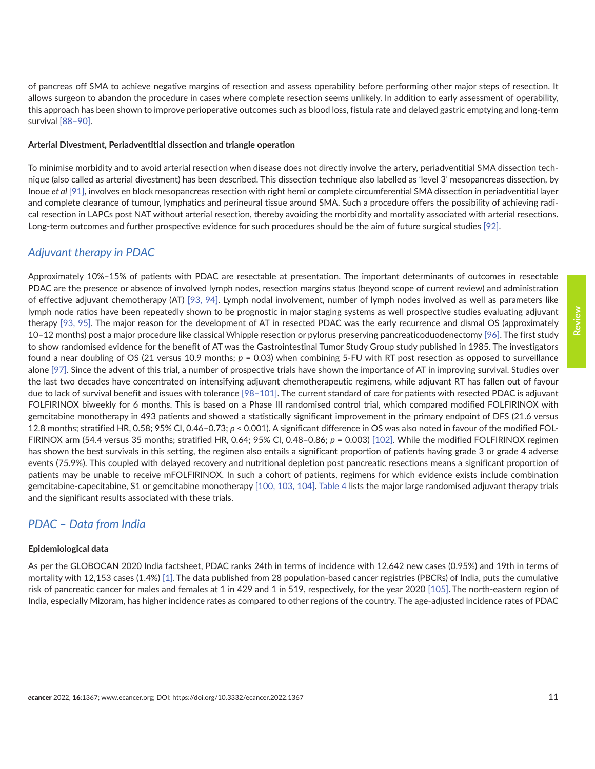of pancreas off SMA to achieve negative margins of resection and assess operability before performing other major steps of resection. It allows surgeon to abandon the procedure in cases where complete resection seems unlikely. In addition to early assessment of operability, this approach has been shown to improve perioperative outcomes such as blood loss, fistula rate and delayed gastric emptying and long-term survival [\[88–90\]](#page-18-0).

#### **Arterial Divestment, Periadventitial dissection and triangle operation**

To minimise morbidity and to avoid arterial resection when disease does not directly involve the artery, periadventitial SMA dissection technique (also called as arterial divestment) has been described. This dissection technique also labelled as 'level 3' mesopancreas dissection, by Inoue *et al* [\[91\]](#page-18-0), involves en block mesopancreas resection with right hemi or complete circumferential SMA dissection in periadventitial layer and complete clearance of tumour, lymphatics and perineural tissue around SMA. Such a procedure offers the possibility of achieving radical resection in LAPCs post NAT without arterial resection, thereby avoiding the morbidity and mortality associated with arterial resections. Long-term outcomes and further prospective evidence for such procedures should be the aim of future surgical studies [\[92\].](#page-18-0)

### *Adjuvant therapy in PDAC*

Approximately 10%–15% of patients with PDAC are resectable at presentation. The important determinants of outcomes in resectable PDAC are the presence or absence of involved lymph nodes, resection margins status (beyond scope of current review) and administration of effective adjuvant chemotherapy (AT) [\[93,](#page-18-0) [94\].](#page-18-0) Lymph nodal involvement, number of lymph nodes involved as well as parameters like lymph node ratios have been repeatedly shown to be prognostic in major staging systems as well prospective studies evaluating adjuvant therapy [\[93,](#page-18-0) [95\].](#page-18-0) The major reason for the development of AT in resected PDAC was the early recurrence and dismal OS (approximately 10–12 months) post a major procedure like classical Whipple resection or pylorus preserving pancreaticoduodenectomy [\[96\]](#page-18-0). The first study to show randomised evidence for the benefit of AT was the Gastrointestinal Tumor Study Group study published in 1985. The investigators found a near doubling of OS (21 versus 10.9 months; *p* = 0.03) when combining 5-FU with RT post resection as opposed to surveillance alone [\[97\].](#page-18-0) Since the advent of this trial, a number of prospective trials have shown the importance of AT in improving survival. Studies over the last two decades have concentrated on intensifying adjuvant chemotherapeutic regimens, while adjuvant RT has fallen out of favour due to lack of survival benefit and issues with tolerance [\[98–101\]](#page-19-0). The current standard of care for patients with resected PDAC is adjuvant FOLFIRINOX biweekly for 6 months. This is based on a Phase III randomised control trial, which compared modified FOLFIRINOX with gemcitabine monotherapy in 493 patients and showed a statistically significant improvement in the primary endpoint of DFS (21.6 versus 12.8 months; stratified HR, 0.58; 95% CI, 0.46–0.73; *p* < 0.001). A significant difference in OS was also noted in favour of the modified FOL-FIRINOX arm (54.4 versus 35 months; stratified HR, 0.64; 95% CI, 0.48–0.86; *p* = 0.003) [\[102\]](#page-19-0). While the modified FOLFIRINOX regimen has shown the best survivals in this setting, the regimen also entails a significant proportion of patients having grade 3 or grade 4 adverse events (75.9%). This coupled with delayed recovery and nutritional depletion post pancreatic resections means a significant proportion of patients may be unable to receive mFOLFIRINOX. In such a cohort of patients, regimens for which evidence exists include combination gemcitabine-capecitabine, S1 or gemcitabine monotherapy [\[100,](#page-19-0) [103,](#page-19-0) [104\]](#page-19-0). [Table 4](#page-11-0) lists the major large randomised adjuvant therapy trials and the significant results associated with these trials.

### *PDAC – Data from India*

### **Epidemiological data**

As per the GLOBOCAN 2020 India factsheet, PDAC ranks 24th in terms of incidence with 12,642 new cases (0.95%) and 19th in terms of mortality with 12,153 cases (1.4%) [\[1\].](#page-13-0)The data published from 28 population-based cancer registries (PBCRs) of India, puts the cumulative risk of pancreatic cancer for males and females at 1 in 429 and 1 in 519, respectively, for the year 2020 [\[105\].](#page-19-0)The north-eastern region of India, especially Mizoram, has higher incidence rates as compared to other regions of the country. The age-adjusted incidence rates of PDAC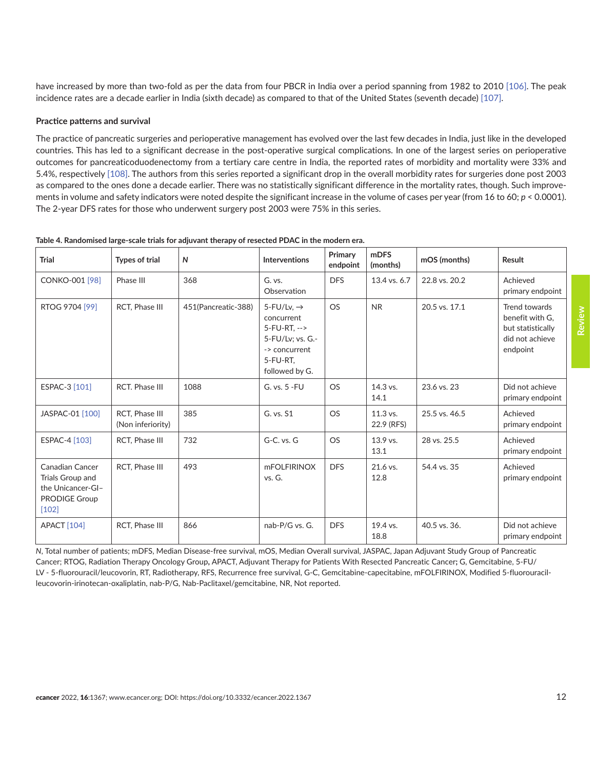<span id="page-11-0"></span>have increased by more than two-fold as per the data from four PBCR in India over a period spanning from 1982 to 2010 [\[106\]](#page-19-0). The peak incidence rates are a decade earlier in India (sixth decade) as compared to that of the United States (seventh decade) [\[107\]](#page-19-0).

#### **Practice patterns and survival**

The practice of pancreatic surgeries and perioperative management has evolved over the last few decades in India, just like in the developed countries. This has led to a significant decrease in the post-operative surgical complications. In one of the largest series on perioperative outcomes for pancreaticoduodenectomy from a tertiary care centre in India, the reported rates of morbidity and mortality were 33% and 5.4%, respectively [\[108\].](#page-19-0) The authors from this series reported a significant drop in the overall morbidity rates for surgeries done post 2003 as compared to the ones done a decade earlier. There was no statistically significant difference in the mortality rates, though. Such improvements in volume and safety indicators were noted despite the significant increase in the volume of cases per year (from 16 to 60; *p* < 0.0001). The 2-year DFS rates for those who underwent surgery post 2003 were 75% in this series.

| <b>Trial</b>                                                                                       | <b>Types of trial</b>               | $\mathsf{N}$        | <b>Interventions</b>                                                                                                      | Primary<br>endpoint | <b>mDFS</b><br>(months) | mOS (months)  | Result                                                                               |
|----------------------------------------------------------------------------------------------------|-------------------------------------|---------------------|---------------------------------------------------------------------------------------------------------------------------|---------------------|-------------------------|---------------|--------------------------------------------------------------------------------------|
| <b>CONKO-001 [98]</b>                                                                              | Phase III                           | 368                 | G. vs.<br>Observation                                                                                                     | <b>DFS</b>          | 13.4 vs. 6.7            | 22.8 vs. 20.2 | Achieved<br>primary endpoint                                                         |
| RTOG 9704 [99]                                                                                     | RCT, Phase III                      | 451(Pancreatic-388) | 5-FU/Lv, $\rightarrow$<br>concurrent<br>$5-FU-RT.$ --><br>5-FU/Lv; vs. G.-<br>-> concurrent<br>5-FU-RT,<br>followed by G. | <b>OS</b>           | <b>NR</b>               | 20.5 vs. 17.1 | Trend towards<br>benefit with G.<br>but statistically<br>did not achieve<br>endpoint |
| ESPAC-3 [101]                                                                                      | RCT. Phase III                      | 1088                | G. vs. 5 - FU                                                                                                             | <b>OS</b>           | $14.3$ vs.<br>14.1      | 23.6 vs. 23   | Did not achieve<br>primary endpoint                                                  |
| JASPAC-01 [100]                                                                                    | RCT. Phase III<br>(Non inferiority) | 385                 | G. vs. S1                                                                                                                 | <b>OS</b>           | 11.3 vs.<br>22.9 (RFS)  | 25.5 vs. 46.5 | Achieved<br>primary endpoint                                                         |
| ESPAC-4 [103]                                                                                      | RCT, Phase III                      | 732                 | $G-C.$ vs. $G$                                                                                                            | <b>OS</b>           | 13.9 vs.<br>13.1        | 28 vs. 25.5   | Achieved<br>primary endpoint                                                         |
| <b>Canadian Cancer</b><br>Trials Group and<br>the Unicancer-GI-<br><b>PRODIGE Group</b><br>$[102]$ | RCT, Phase III                      | 493                 | <b>mFOLFIRINOX</b><br>vs. G.                                                                                              | <b>DFS</b>          | 21.6 vs.<br>12.8        | 54.4 vs. 35   | Achieved<br>primary endpoint                                                         |
| <b>APACT</b> [104]                                                                                 | RCT. Phase III                      | 866                 | nab-P/G vs. G.                                                                                                            | <b>DFS</b>          | 19.4 vs.<br>18.8        | 40.5 vs. 36.  | Did not achieve<br>primary endpoint                                                  |

**Table 4. Randomised large-scale trials for adjuvant therapy of resected PDAC in the modern era.**

*N*, Total number of patients; mDFS, Median Disease-free survival, mOS, Median Overall survival, JASPAC, Japan Adjuvant Study Group of Pancreatic Cancer; RTOG, Radiation Therapy Oncology Group**,** APACT, Adjuvant Therapy for Patients With Resected Pancreatic Cancer**;** G, Gemcitabine, 5-FU/ LV - 5-fluorouracil/leucovorin, RT, Radiotherapy, RFS, Recurrence free survival, G-C, Gemcitabine-capecitabine, mFOLFIRINOX, Modified 5-fluorouracilleucovorin-irinotecan-oxaliplatin, nab-P/G, Nab-Paclitaxel/gemcitabine, NR, Not reported.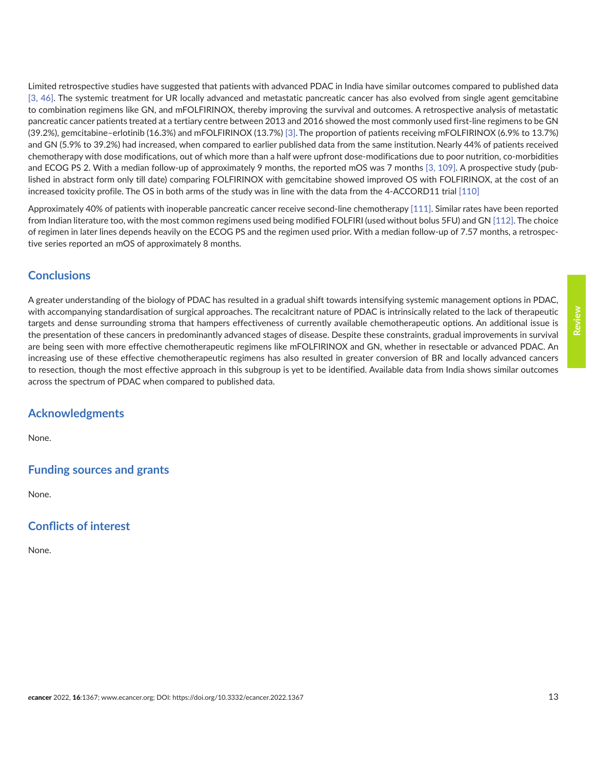Limited retrospective studies have suggested that patients with advanced PDAC in India have similar outcomes compared to published data [\[3,](#page-13-0) [46\]](#page-15-0). The systemic treatment for UR locally advanced and metastatic pancreatic cancer has also evolved from single agent gemcitabine to combination regimens like GN, and mFOLFIRINOX, thereby improving the survival and outcomes. A retrospective analysis of metastatic pancreatic cancer patients treated at a tertiary centre between 2013 and 2016 showed the most commonly used first-line regimens to be GN (39.2%), gemcitabine–erlotinib (16.3%) and mFOLFIRINOX (13.7%) [\[3\]](#page-13-0).The proportion of patients receiving mFOLFIRINOX (6.9% to 13.7%) and GN (5.9% to 39.2%) had increased, when compared to earlier published data from the same institution. Nearly 44% of patients received chemotherapy with dose modifications, out of which more than a half were upfront dose-modifications due to poor nutrition, co-morbidities and ECOG PS 2. With a median follow-up of approximately 9 months, the reported mOS was 7 months [\[3,](#page-13-0) [109\]](#page-19-0). A prospective study (published in abstract form only till date) comparing FOLFIRINOX with gemcitabine showed improved OS with FOLFIRINOX, at the cost of an increased toxicity profile. The OS in both arms of the study was in line with the data from the 4-ACCORD11 trial [\[110\]](#page-19-0)

Approximately 40% of patients with inoperable pancreatic cancer receive second-line chemotherapy [\[111\].](#page-19-0) Similar rates have been reported from Indian literature too, with the most common regimens used being modified FOLFIRI (used without bolus 5FU) and GN [\[112\].](#page-19-0) The choice of regimen in later lines depends heavily on the ECOG PS and the regimen used prior. With a median follow-up of 7.57 months, a retrospective series reported an mOS of approximately 8 months.

## **Conclusions**

A greater understanding of the biology of PDAC has resulted in a gradual shift towards intensifying systemic management options in PDAC, with accompanying standardisation of surgical approaches. The recalcitrant nature of PDAC is intrinsically related to the lack of therapeutic targets and dense surrounding stroma that hampers effectiveness of currently available chemotherapeutic options. An additional issue is the presentation of these cancers in predominantly advanced stages of disease. Despite these constraints, gradual improvements in survival are being seen with more effective chemotherapeutic regimens like mFOLFIRINOX and GN, whether in resectable or advanced PDAC. An increasing use of these effective chemotherapeutic regimens has also resulted in greater conversion of BR and locally advanced cancers to resection, though the most effective approach in this subgroup is yet to be identified. Available data from India shows similar outcomes across the spectrum of PDAC when compared to published data.

# **Acknowledgments**

None.

# **Funding sources and grants**

None.

# **Conflicts of interest**

None.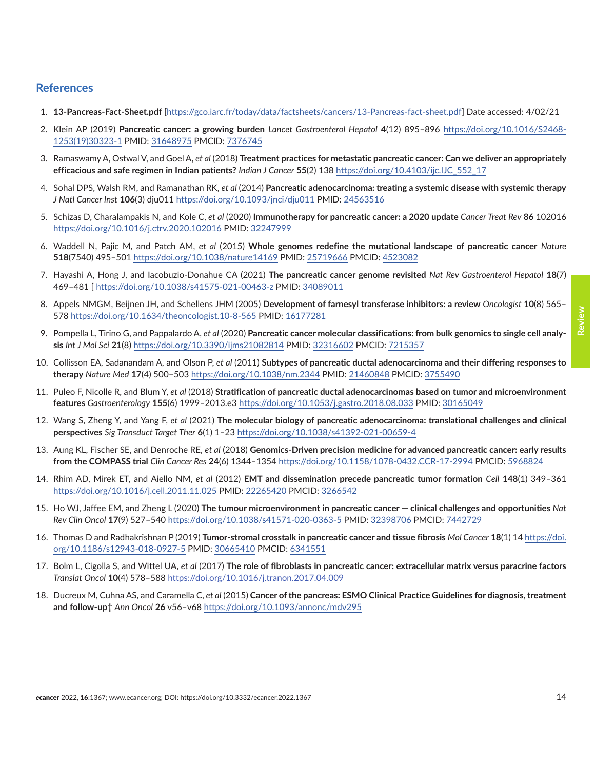### <span id="page-13-0"></span>**References**

- 1. **13-Pancreas-Fact-Sheet.pdf** [<https://gco.iarc.fr/today/data/factsheets/cancers/13-Pancreas-fact-sheet.pdf>] Date accessed: 4/02/21
- 2. Klein AP (2019) **Pancreatic cancer: a growing burden** *Lancet Gastroenterol Hepatol* **4**(12) 895–896 [https://doi.org/10.1016/S2468-](https://doi.org/10.1016/S2468-1253(19)30323-1) [1253\(19\)30323-1](https://doi.org/10.1016/S2468-1253(19)30323-1) PMID: [31648975](http://www.ncbi.nlm.nih.gov/pubmed/31648975) PMCID: [7376745](http://www.ncbi.nlm.nih.gov/pmc/articles/PMC7376745)
- 3. Ramaswamy A, Ostwal V, and Goel A, *et al* (2018) **Treatment practices for metastatic pancreatic cancer: Can we deliver an appropriately efficacious and safe regimen in Indian patients?** *Indian J Cancer* **55**(2) 138 [https://doi.org/10.4103/ijc.IJC\\_552\\_17](https://doi.org/10.4103/ijc.IJC_552_17)
- 4. Sohal DPS, Walsh RM, and Ramanathan RK, *et al* (2014) **Pancreatic adenocarcinoma: treating a systemic disease with systemic therapy** *J Natl Cancer Inst* **106**(3) dju011 <https://doi.org/10.1093/jnci/dju011>PMID: [24563516](http://www.ncbi.nlm.nih.gov/pubmed/24563516)
- 5. Schizas D, Charalampakis N, and Kole C, *et al* (2020) **Immunotherapy for pancreatic cancer: a 2020 update** *Cancer Treat Rev* **86** 102016 <https://doi.org/10.1016/j.ctrv.2020.102016> PMID: [32247999](http://www.ncbi.nlm.nih.gov/pubmed/32247999)
- 6. Waddell N, Pajic M, and Patch AM, *et al* (2015) **Whole genomes redefine the mutational landscape of pancreatic cancer** *Nature* **518**(7540) 495–501<https://doi.org/10.1038/nature14169> PMID: [25719666](http://www.ncbi.nlm.nih.gov/pubmed/25719666) PMCID: [4523082](http://www.ncbi.nlm.nih.gov/pmc/articles/PMC4523082)
- 7. Hayashi A, Hong J, and Iacobuzio-Donahue CA (2021) **The pancreatic cancer genome revisited** *Nat Rev Gastroenterol Hepatol* **18**(7) 469–481 [ <https://doi.org/10.1038/s41575-021-00463-z>PMID: [34089011](http://www.ncbi.nlm.nih.gov/pubmed/34089011)
- 8. Appels NMGM, Beijnen JH, and Schellens JHM (2005) **Development of farnesyl transferase inhibitors: a review** *Oncologist* **10**(8) 565– 578 <https://doi.org/10.1634/theoncologist.10-8-565>PMID: [16177281](http://www.ncbi.nlm.nih.gov/pubmed/16177281)
- 9. Pompella L, Tirino G, and Pappalardo A, *et al* (2020) **Pancreatic cancer molecular classifications: from bulk genomics to single cell analysis** *Int J Mol Sci* **21**(8) <https://doi.org/10.3390/ijms21082814> PMID: [32316602](http://www.ncbi.nlm.nih.gov/pubmed/32316602) PMCID: [7215357](http://www.ncbi.nlm.nih.gov/pmc/articles/PMC7215357)
- 10. Collisson EA, Sadanandam A, and Olson P, *et al* (2011) **Subtypes of pancreatic ductal adenocarcinoma and their differing responses to therapy** *Nature Med* **17**(4) 500–503 <https://doi.org/10.1038/nm.2344> PMID: [21460848](http://www.ncbi.nlm.nih.gov/pubmed/21460848) PMCID: [3755490](http://www.ncbi.nlm.nih.gov/pmc/articles/PMC3755490)
- 11. Puleo F, Nicolle R, and Blum Y, *et al* (2018) **Stratification of pancreatic ductal adenocarcinomas based on tumor and microenvironment features** *Gastroenterology* **155**(6) 1999–2013.e3<https://doi.org/10.1053/j.gastro.2018.08.033>PMID: [30165049](http://www.ncbi.nlm.nih.gov/pubmed/30165049)
- 12. Wang S, Zheng Y, and Yang F, *et al* (2021) **The molecular biology of pancreatic adenocarcinoma: translational challenges and clinical perspectives** *Sig Transduct Target Ther* **6**(1) 1–23<https://doi.org/10.1038/s41392-021-00659-4>
- 13. Aung KL, Fischer SE, and Denroche RE, *et al* (2018) **Genomics-Driven precision medicine for advanced pancreatic cancer: early results from the COMPASS trial** *Clin Cancer Res* **24**(6) 1344–1354 <https://doi.org/10.1158/1078-0432.CCR-17-2994>PMCID: [5968824](http://www.ncbi.nlm.nih.gov/pmc/articles/PMC5968824)
- 14. Rhim AD, Mirek ET, and Aiello NM, *et al* (2012) **EMT and dissemination precede pancreatic tumor formation** *Cell* **148**(1) 349–361 <https://doi.org/10.1016/j.cell.2011.11.025> PMID: [22265420](http://www.ncbi.nlm.nih.gov/pubmed/22265420) PMCID: [3266542](http://www.ncbi.nlm.nih.gov/pmc/articles/PMC3266542)
- 15. Ho WJ, Jaffee EM, and Zheng L (2020) **The tumour microenvironment in pancreatic cancer clinical challenges and opportunities** *Nat Rev Clin Oncol* **17**(9) 527–540<https://doi.org/10.1038/s41571-020-0363-5>PMID: [32398706](http://www.ncbi.nlm.nih.gov/pubmed/32398706) PMCID: [7442729](http://www.ncbi.nlm.nih.gov/pmc/articles/PMC7442729)
- 16. Thomas D and Radhakrishnan P (2019) **Tumor-stromal crosstalk in pancreatic cancer and tissue fibrosis** *Mol Cancer* **18**(1) 14 [https://doi.](https://doi.org/10.1186/s12943-018-0927-5) [org/10.1186/s12943-018-0927-5](https://doi.org/10.1186/s12943-018-0927-5) PMID: [30665410](http://www.ncbi.nlm.nih.gov/pubmed/30665410) PMCID: [6341551](http://www.ncbi.nlm.nih.gov/pmc/articles/PMC6341551)
- 17. Bolm L, Cigolla S, and Wittel UA, *et al* (2017) **The role of fibroblasts in pancreatic cancer: extracellular matrix versus paracrine factors** *Translat Oncol* **10**(4) 578–588 <https://doi.org/10.1016/j.tranon.2017.04.009>
- 18. Ducreux M, Cuhna AS, and Caramella C, *et al* (2015) **Cancer of the pancreas: ESMO Clinical Practice Guidelines for diagnosis, treatment and follow-up†** *Ann Oncol* **26** v56–v68 <https://doi.org/10.1093/annonc/mdv295>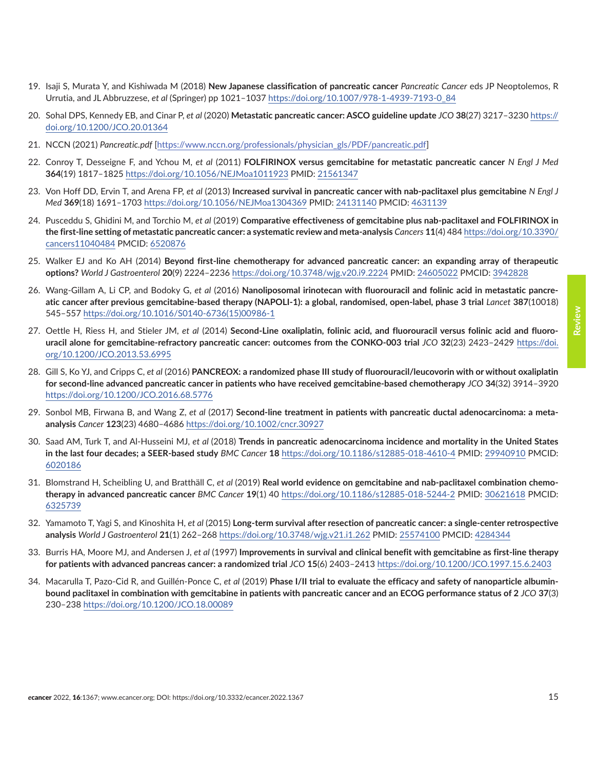- <span id="page-14-0"></span>19. Isaji S, Murata Y, and Kishiwada M (2018) **New Japanese classification of pancreatic cancer** *Pancreatic Cancer* eds JP Neoptolemos, R Urrutia, and JL Abbruzzese, *et al* (Springer) pp 1021–1037 [https://doi.org/10.1007/978-1-4939-7193-0\\_84](https://doi.org/10.1007/978-1-4939-7193-0_84)
- 20. Sohal DPS, Kennedy EB, and Cinar P, *et al* (2020) **Metastatic pancreatic cancer: ASCO guideline update** *JCO* **38**(27) 3217–3230 [https://](https://doi.org/10.1200/JCO.20.01364) [doi.org/10.1200/JCO.20.01364](https://doi.org/10.1200/JCO.20.01364)
- 21. NCCN (2021) *Pancreatic.pdf* [[https://www.nccn.org/professionals/physician\\_gls/PDF/pancreatic.pdf\]](https://www.nccn.org/professionals/physician_gls/PDF/pancreatic.pdf)
- 22. Conroy T, Desseigne F, and Ychou M, *et al* (2011) **FOLFIRINOX versus gemcitabine for metastatic pancreatic cancer** *N Engl J Med* **364**(19) 1817–1825<https://doi.org/10.1056/NEJMoa1011923>PMID: [21561347](http://www.ncbi.nlm.nih.gov/pubmed/21561347)
- 23. Von Hoff DD, Ervin T, and Arena FP, *et al* (2013) **Increased survival in pancreatic cancer with nab-paclitaxel plus gemcitabine** *N Engl J Med* **369**(18) 1691–1703<https://doi.org/10.1056/NEJMoa1304369>PMID: [24131140](http://www.ncbi.nlm.nih.gov/pubmed/24131140) PMCID: [4631139](http://www.ncbi.nlm.nih.gov/pmc/articles/PMC4631139)
- 24. Pusceddu S, Ghidini M, and Torchio M, *et al* (2019) **Comparative effectiveness of gemcitabine plus nab-paclitaxel and FOLFIRINOX in the first-line setting of metastatic pancreatic cancer: a systematic review and meta-analysis** *Cancers* **11**(4) 484 [https://doi.org/10.3390/](https://doi.org/10.3390/cancers11040484) [cancers11040484](https://doi.org/10.3390/cancers11040484) PMCID: [6520876](http://www.ncbi.nlm.nih.gov/pmc/articles/PMC6520876)
- 25. Walker EJ and Ko AH (2014) **Beyond first-line chemotherapy for advanced pancreatic cancer: an expanding array of therapeutic options?** *World J Gastroenterol* **20**(9) 2224–2236<https://doi.org/10.3748/wjg.v20.i9.2224>PMID: [24605022](http://www.ncbi.nlm.nih.gov/pubmed/24605022) PMCID: [3942828](http://www.ncbi.nlm.nih.gov/pmc/articles/PMC3942828)
- 26. Wang-Gillam A, Li CP, and Bodoky G, *et al* (2016) **Nanoliposomal irinotecan with fluorouracil and folinic acid in metastatic pancreatic cancer after previous gemcitabine-based therapy (NAPOLI-1): a global, randomised, open-label, phase 3 trial** *Lancet* **387**(10018) 545–557 [https://doi.org/10.1016/S0140-6736\(15\)00986-1](https://doi.org/10.1016/S0140-6736(15)00986-1)
- 27. Oettle H, Riess H, and Stieler JM, *et al* (2014) **Second-Line oxaliplatin, folinic acid, and fluorouracil versus folinic acid and fluorouracil alone for gemcitabine-refractory pancreatic cancer: outcomes from the CONKO-003 trial** *JCO* **32**(23) 2423–2429 [https://doi.](https://doi.org/10.1200/JCO.2013.53.6995) [org/10.1200/JCO.2013.53.6995](https://doi.org/10.1200/JCO.2013.53.6995)
- 28. Gill S, Ko YJ, and Cripps C, *et al* (2016) **PANCREOX: a randomized phase III study of fluorouracil/leucovorin with or without oxaliplatin for second-line advanced pancreatic cancer in patients who have received gemcitabine-based chemotherapy** *JCO* **34**(32) 3914–3920 <https://doi.org/10.1200/JCO.2016.68.5776>
- 29. Sonbol MB, Firwana B, and Wang Z, *et al* (2017) **Second-line treatment in patients with pancreatic ductal adenocarcinoma: a metaanalysis** *Cancer* **123**(23) 4680–4686 <https://doi.org/10.1002/cncr.30927>
- 30. Saad AM, Turk T, and Al-Husseini MJ, *et al* (2018) **Trends in pancreatic adenocarcinoma incidence and mortality in the United States in the last four decades; a SEER-based study** *BMC Cancer* **18** <https://doi.org/10.1186/s12885-018-4610-4>PMID: 29940910 PMCID: [6020186](http://www.ncbi.nlm.nih.gov/pmc/articles/PMC6020186)
- 31. Blomstrand H, Scheibling U, and Bratthäll C, *et al* (2019) **Real world evidence on gemcitabine and nab-paclitaxel combination chemotherapy in advanced pancreatic cancer** *BMC Cancer* **19**(1) 40 <https://doi.org/10.1186/s12885-018-5244-2>PMID: [30621618](http://www.ncbi.nlm.nih.gov/pubmed/30621618) PMCID: [6325739](http://www.ncbi.nlm.nih.gov/pmc/articles/PMC6325739)
- 32. Yamamoto T, Yagi S, and Kinoshita H, *et al* (2015) **Long-term survival after resection of pancreatic cancer: a single-center retrospective analysis** *World J Gastroenterol* **21**(1) 262–268 <https://doi.org/10.3748/wjg.v21.i1.262> PMID: [25574100](http://www.ncbi.nlm.nih.gov/pubmed/25574100) PMCID: [4284344](http://www.ncbi.nlm.nih.gov/pmc/articles/PMC4284344)
- 33. Burris HA, Moore MJ, and Andersen J, *et al* (1997) **Improvements in survival and clinical benefit with gemcitabine as first-line therapy for patients with advanced pancreas cancer: a randomized trial** *JCO* **15**(6) 2403–2413<https://doi.org/10.1200/JCO.1997.15.6.2403>
- 34. Macarulla T, Pazo-Cid R, and Guillén-Ponce C, *et al* (2019) **Phase I/II trial to evaluate the efficacy and safety of nanoparticle albuminbound paclitaxel in combination with gemcitabine in patients with pancreatic cancer and an ECOG performance status of 2** *JCO* **37**(3) 230–238 <https://doi.org/10.1200/JCO.18.00089>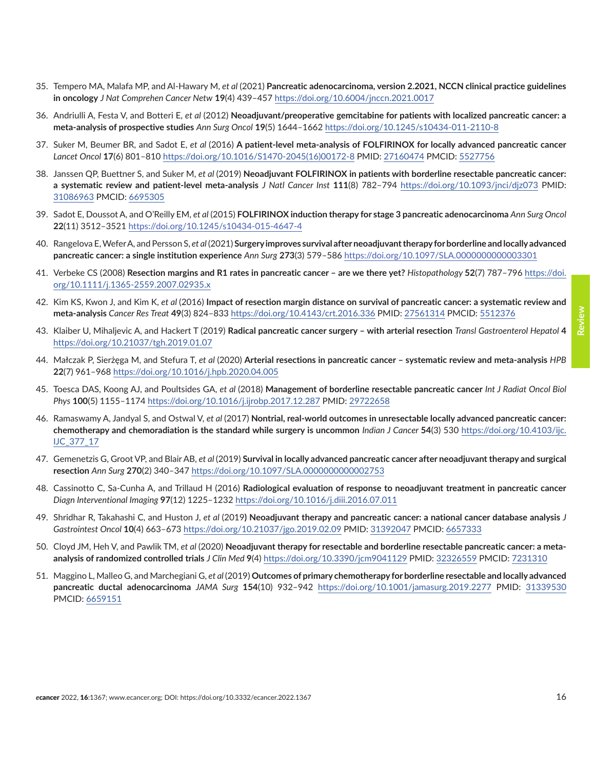- <span id="page-15-0"></span>35. Tempero MA, Malafa MP, and Al-Hawary M, *et al* (2021) **Pancreatic adenocarcinoma, version 2.2021, NCCN clinical practice guidelines in oncology** *J Nat Comprehen Cancer Netw* **19**(4) 439–457 <https://doi.org/10.6004/jnccn.2021.0017>
- 36. Andriulli A, Festa V, and Botteri E, *et al* (2012) **Neoadjuvant/preoperative gemcitabine for patients with localized pancreatic cancer: a meta-analysis of prospective studies** *Ann Surg Oncol* **19**(5) 1644–1662 <https://doi.org/10.1245/s10434-011-2110-8>
- 37. Suker M, Beumer BR, and Sadot E, *et al* (2016) **A patient-level meta-analysis of FOLFIRINOX for locally advanced pancreatic cancer** *Lancet Oncol* **17**(6) 801–810 [https://doi.org/10.1016/S1470-2045\(16\)00172-8](https://doi.org/10.1016/S1470-2045(16)00172-8) PMID: [27160474](http://www.ncbi.nlm.nih.gov/pubmed/27160474) PMCID: [5527756](http://www.ncbi.nlm.nih.gov/pmc/articles/PMC5527756)
- 38. Janssen QP, Buettner S, and Suker M, *et al* (2019) **Neoadjuvant FOLFIRINOX in patients with borderline resectable pancreatic cancer: a systematic review and patient-level meta-analysis** *J Natl Cancer Inst* **111**(8) 782–794 <https://doi.org/10.1093/jnci/djz073>PMID: [31086963](http://www.ncbi.nlm.nih.gov/pubmed/31086963) PMCID: [6695305](http://www.ncbi.nlm.nih.gov/pmc/articles/PMC6695305)
- 39. Sadot E, Doussot A, and O'Reilly EM, *et al* (2015) **FOLFIRINOX induction therapy for stage 3 pancreatic adenocarcinoma** *Ann Surg Oncol* **22**(11) 3512–3521<https://doi.org/10.1245/s10434-015-4647-4>
- 40. Rangelova E, Wefer A, and Persson S, *et al* (2021) **Surgery improves survival after neoadjuvant therapy for borderline and locally advanced pancreatic cancer: a single institution experience** *Ann Surg* **273**(3) 579–586 <https://doi.org/10.1097/SLA.0000000000003301>
- 41. Verbeke CS (2008) **Resection margins and R1 rates in pancreatic cancer are we there yet?** *Histopathology* **52**(7) 787–796 [https://doi.](https://doi.org/10.1111/j.1365-2559.2007.02935.x) [org/10.1111/j.1365-2559.2007.02935.x](https://doi.org/10.1111/j.1365-2559.2007.02935.x)
- 42. Kim KS, Kwon J, and Kim K, *et al* (2016) **Impact of resection margin distance on survival of pancreatic cancer: a systematic review and meta-analysis** *Cancer Res Treat* **49**(3) 824–833 <https://doi.org/10.4143/crt.2016.336> PMID: [27561314](http://www.ncbi.nlm.nih.gov/pubmed/27561314) PMCID: [5512376](http://www.ncbi.nlm.nih.gov/pmc/articles/PMC5512376)
- 43. Klaiber U, Mihaljevic A, and Hackert T (2019) **Radical pancreatic cancer surgery with arterial resection** *Transl Gastroenterol Hepatol* **4**  <https://doi.org/10.21037/tgh.2019.01.07>
- 44. Małczak P, Sierżęga M, and Stefura T, *et al* (2020) **Arterial resections in pancreatic cancer systematic review and meta-analysis** *HPB* **22**(7) 961–968 <https://doi.org/10.1016/j.hpb.2020.04.005>
- 45. Toesca DAS, Koong AJ, and Poultsides GA, *et al* (2018) **Management of borderline resectable pancreatic cancer** *Int J Radiat Oncol Biol Phys* **100**(5) 1155–1174<https://doi.org/10.1016/j.ijrobp.2017.12.287>PMID: [29722658](http://www.ncbi.nlm.nih.gov/pubmed/29722658)
- 46. Ramaswamy A, Jandyal S, and Ostwal V, *et al* (2017) **Nontrial, real-world outcomes in unresectable locally advanced pancreatic cancer: chemotherapy and chemoradiation is the standard while surgery is uncommon** *Indian J Cancer* **54**(3) 530 [https://doi.org/10.4103/ijc.](https://doi.org/10.4103/ijc.IJC_377_17) [IJC\\_377\\_17](https://doi.org/10.4103/ijc.IJC_377_17)
- 47. Gemenetzis G, Groot VP, and Blair AB, *et al* (2019) **Survival in locally advanced pancreatic cancer after neoadjuvant therapy and surgical resection** *Ann Surg* **270**(2) 340–347<https://doi.org/10.1097/SLA.0000000000002753>
- 48. Cassinotto C, Sa-Cunha A, and Trillaud H (2016) **Radiological evaluation of response to neoadjuvant treatment in pancreatic cancer** *Diagn Interventional Imaging* **97**(12) 1225–1232<https://doi.org/10.1016/j.diii.2016.07.011>
- 49. Shridhar R, Takahashi C, and Huston J, *et al* (2019**) Neoadjuvant therapy and pancreatic cancer: a national cancer database analysis** *J Gastrointest Oncol* **10**(4) 663–673 <https://doi.org/10.21037/jgo.2019.02.09> PMID: [31392047](http://www.ncbi.nlm.nih.gov/pubmed/31392047) PMCID: 6657333
- 50. Cloyd JM, Heh V, and Pawlik TM, *et al* (2020) **Neoadjuvant therapy for resectable and borderline resectable pancreatic cancer: a metaanalysis of randomized controlled trials** *J Clin Med* **9**(4)<https://doi.org/10.3390/jcm9041129> PMID: [32326559](http://www.ncbi.nlm.nih.gov/pubmed/32326559) PMCID: [7231310](http://www.ncbi.nlm.nih.gov/pmc/articles/PMC7231310)
- 51. Maggino L, Malleo G, and Marchegiani G, *et al* (2019) **Outcomes of primary chemotherapy for borderline resectable and locally advanced pancreatic ductal adenocarcinoma** *JAMA Surg* **154**(10) 932–942 <https://doi.org/10.1001/jamasurg.2019.2277>PMID: [31339530](http://www.ncbi.nlm.nih.gov/pubmed/31339530) PMCID: [6659151](http://www.ncbi.nlm.nih.gov/pmc/articles/PMC6659151)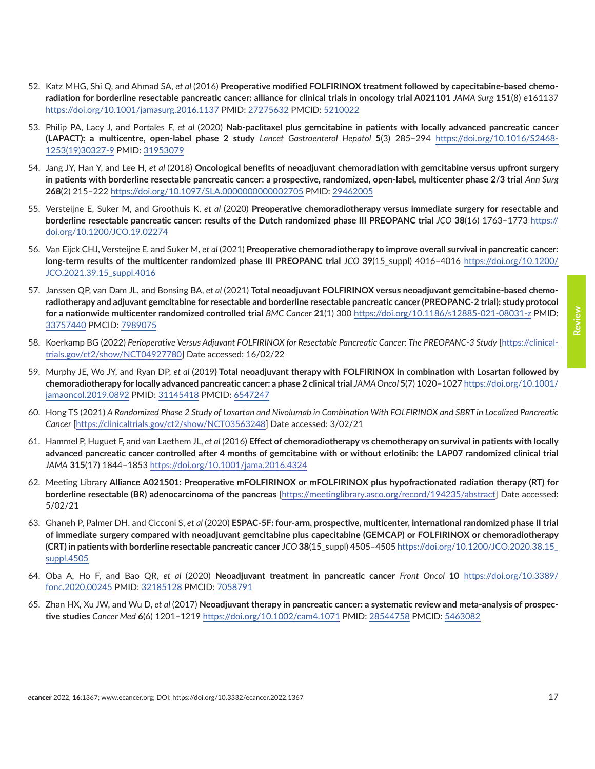- <span id="page-16-0"></span>52. Katz MHG, Shi Q, and Ahmad SA, *et al* (2016) **Preoperative modified FOLFIRINOX treatment followed by capecitabine-based chemoradiation for borderline resectable pancreatic cancer: alliance for clinical trials in oncology trial A021101** *JAMA Surg* **151**(8) e161137 <https://doi.org/10.1001/jamasurg.2016.1137>PMID: [27275632](http://www.ncbi.nlm.nih.gov/pubmed/27275632) PMCID: [5210022](http://www.ncbi.nlm.nih.gov/pmc/articles/PMC5210022)
- 53. Philip PA, Lacy J, and Portales F, *et al* (2020) **Nab-paclitaxel plus gemcitabine in patients with locally advanced pancreatic cancer (LAPACT): a multicentre, open-label phase 2 study** *Lancet Gastroenterol Hepatol* **5**(3) 285–294 [https://doi.org/10.1016/S2468-](https://doi.org/10.1016/S2468-1253(19)30327-9) [1253\(19\)30327-9](https://doi.org/10.1016/S2468-1253(19)30327-9) PMID: [31953079](http://www.ncbi.nlm.nih.gov/pubmed/31953079)
- 54. Jang JY, Han Y, and Lee H, *et al* (2018) **Oncological benefits of neoadjuvant chemoradiation with gemcitabine versus upfront surgery in patients with borderline resectable pancreatic cancer: a prospective, randomized, open-label, multicenter phase 2/3 trial** *Ann Surg*  **268**(2) 215–222 <https://doi.org/10.1097/SLA.0000000000002705> PMID: [29462005](http://www.ncbi.nlm.nih.gov/pubmed/29462005)
- 55. Versteijne E, Suker M, and Groothuis K, *et al* (2020) **Preoperative chemoradiotherapy versus immediate surgery for resectable and borderline resectable pancreatic cancer: results of the Dutch randomized phase III PREOPANC trial** *JCO* **38**(16) 1763–1773 [https://](https://doi.org/10.1200/JCO.19.02274) [doi.org/10.1200/JCO.19.02274](https://doi.org/10.1200/JCO.19.02274)
- 56. Van Eijck CHJ, Versteijne E, and Suker M, *et al* (2021) **Preoperative chemoradiotherapy to improve overall survival in pancreatic cancer: long-term results of the multicenter randomized phase III PREOPANC trial** *JCO* **39**(15\_suppl) 4016–4016 [https://doi.org/10.1200/](https://doi.org/10.1200/JCO.2021.39.15_suppl.4016) [JCO.2021.39.15\\_suppl.4016](https://doi.org/10.1200/JCO.2021.39.15_suppl.4016)
- 57. Janssen QP, van Dam JL, and Bonsing BA, *et al* (2021) **Total neoadjuvant FOLFIRINOX versus neoadjuvant gemcitabine-based chemoradiotherapy and adjuvant gemcitabine for resectable and borderline resectable pancreatic cancer (PREOPANC-2 trial): study protocol for a nationwide multicenter randomized controlled trial** *BMC Cancer* **21**(1) 300<https://doi.org/10.1186/s12885-021-08031-z> PMID: [33757440](http://www.ncbi.nlm.nih.gov/pubmed/33757440) PMCID: [7989075](http://www.ncbi.nlm.nih.gov/pmc/articles/PMC7989075)
- 58. Koerkamp BG (2022) *Perioperative Versus Adjuvant FOLFIRINOX for Resectable Pancreatic Cancer: The PREOPANC-3 Study* [[https://clinical](https://clinicaltrials.gov/ct2/show/NCT04927780)[trials.gov/ct2/show/NCT04927780](https://clinicaltrials.gov/ct2/show/NCT04927780)] Date accessed: 16/02/22
- 59. Murphy JE, Wo JY, and Ryan DP, *et al* (2019**) Total neoadjuvant therapy with FOLFIRINOX in combination with Losartan followed by chemoradiotherapy for locally advanced pancreatic cancer: a phase 2 clinical trial** *JAMA Oncol* **5**(7) 1020–1027 [https://doi.org/10.1001/](https://doi.org/10.1001/jamaoncol.2019.0892) [jamaoncol.2019.0892](https://doi.org/10.1001/jamaoncol.2019.0892) PMID: [31145418](http://www.ncbi.nlm.nih.gov/pubmed/31145418) PMCID: [6547247](http://www.ncbi.nlm.nih.gov/pmc/articles/PMC6547247)
- 60. Hong TS (2021) *A Randomized Phase 2 Study of Losartan and Nivolumab in Combination With FOLFIRINOX and SBRT in Localized Pancreatic Cancer* [\[https://clinicaltrials.gov/ct2/show/NCT03563248](https://clinicaltrials.gov/ct2/show/NCT03563248)] Date accessed: 3/02/21
- 61. Hammel P, Huguet F, and van Laethem JL, *et al* (2016) **Effect of chemoradiotherapy vs chemotherapy on survival in patients with locally advanced pancreatic cancer controlled after 4 months of gemcitabine with or without erlotinib: the LAP07 randomized clinical trial** *JAMA* **315**(17) 1844–1853<https://doi.org/10.1001/jama.2016.4324>
- 62. Meeting Library **Alliance A021501: Preoperative mFOLFIRINOX or mFOLFIRINOX plus hypofractionated radiation therapy (RT) for borderline resectable (BR) adenocarcinoma of the pancreas** [\[https://meetinglibrary.asco.org/record/194235/abstract\]](https://meetinglibrary.asco.org/record/194235/abstract) Date accessed: 5/02/21
- 63. Ghaneh P, Palmer DH, and Cicconi S, *et al* (2020) **ESPAC-5F: four-arm, prospective, multicenter, international randomized phase II trial of immediate surgery compared with neoadjuvant gemcitabine plus capecitabine (GEMCAP) or FOLFIRINOX or chemoradiotherapy (CRT) in patients with borderline resectable pancreatic cancer** *JCO* **38**(15\_suppl) 4505–4505 [https://doi.org/10.1200/JCO.2020.38.15\\_](https://doi.org/10.1200/JCO.2020.38.15_suppl.4505) [suppl.4505](https://doi.org/10.1200/JCO.2020.38.15_suppl.4505)
- 64. Oba A, Ho F, and Bao QR, *et al* (2020) **Neoadjuvant treatment in pancreatic cancer** *Front Oncol* **10** [https://doi.org/10.3389/](https://doi.org/10.3389/fonc.2020.00245) [fonc.2020.00245](https://doi.org/10.3389/fonc.2020.00245) PMID: [32185128](http://www.ncbi.nlm.nih.gov/pubmed/32185128) PMCID: [7058791](http://www.ncbi.nlm.nih.gov/pmc/articles/PMC7058791)
- 65. Zhan HX, Xu JW, and Wu D, *et al* (2017) **Neoadjuvant therapy in pancreatic cancer: a systematic review and meta-analysis of prospective studies** *Cancer Med* **6**(6) 1201–1219 <https://doi.org/10.1002/cam4.1071> PMID: [28544758](http://www.ncbi.nlm.nih.gov/pubmed/28544758) PMCID: [5463082](http://www.ncbi.nlm.nih.gov/pmc/articles/PMC5463082)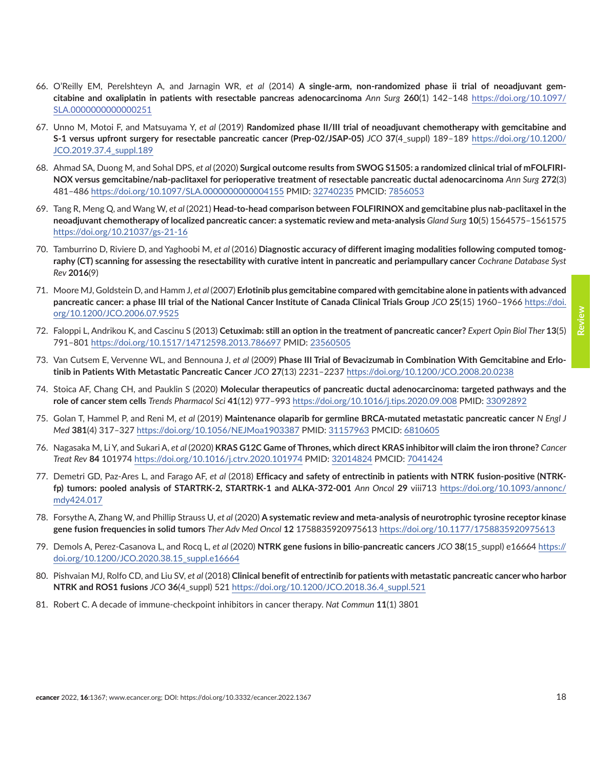- <span id="page-17-0"></span>66. O'Reilly EM, Perelshteyn A, and Jarnagin WR, *et al* (2014) **A single-arm, non-randomized phase ii trial of neoadjuvant gemcitabine and oxaliplatin in patients with resectable pancreas adenocarcinoma** *Ann Surg* **260**(1) 142–148 [https://doi.org/10.1097/](https://doi.org/10.1097/SLA.0000000000000251) [SLA.0000000000000251](https://doi.org/10.1097/SLA.0000000000000251)
- 67. Unno M, Motoi F, and Matsuyama Y, *et al* (2019) **Randomized phase II/III trial of neoadjuvant chemotherapy with gemcitabine and S-1 versus upfront surgery for resectable pancreatic cancer (Prep-02/JSAP-05)** *JCO* **37**(4\_suppl) 189–189 [https://doi.org/10.1200/](https://doi.org/10.1200/JCO.2019.37.4_suppl.189) [JCO.2019.37.4\\_suppl.189](https://doi.org/10.1200/JCO.2019.37.4_suppl.189)
- 68. Ahmad SA, Duong M, and Sohal DPS, *et al* (2020) **Surgical outcome results from SWOG S1505: a randomized clinical trial of mFOLFIRI-NOX versus gemcitabine/nab-paclitaxel for perioperative treatment of resectable pancreatic ductal adenocarcinoma** *Ann Surg* **272**(3) 481–486 <https://doi.org/10.1097/SLA.0000000000004155> PMID: [32740235](http://www.ncbi.nlm.nih.gov/pubmed/32740235) PMCID: [7856053](http://www.ncbi.nlm.nih.gov/pmc/articles/PMC7856053)
- 69. Tang R, Meng Q, and Wang W, *et al* (2021) **Head-to-head comparison between FOLFIRINOX and gemcitabine plus nab-paclitaxel in the neoadjuvant chemotherapy of localized pancreatic cancer: a systematic review and meta-analysis** *Gland Surg* **10**(5) 1564575–1561575 <https://doi.org/10.21037/gs-21-16>
- 70. Tamburrino D, Riviere D, and Yaghoobi M, *et al* (2016) **Diagnostic accuracy of different imaging modalities following computed tomography (CT) scanning for assessing the resectability with curative intent in pancreatic and periampullary cancer** *Cochrane Database Syst Rev* **2016**(9)
- 71. Moore MJ, Goldstein D, and Hamm J, *et al* (2007) **Erlotinib plus gemcitabine compared with gemcitabine alone in patients with advanced pancreatic cancer: a phase III trial of the National Cancer Institute of Canada Clinical Trials Group** *JCO* **25**(15) 1960–1966 [https://doi.](https://doi.org/10.1200/JCO.2006.07.9525) [org/10.1200/JCO.2006.07.9525](https://doi.org/10.1200/JCO.2006.07.9525)
- 72. Faloppi L, Andrikou K, and Cascinu S (2013) **Cetuximab: still an option in the treatment of pancreatic cancer?** *Expert Opin Biol Ther* **13**(5) 791–801 <https://doi.org/10.1517/14712598.2013.786697> PMID: [23560505](http://www.ncbi.nlm.nih.gov/pubmed/23560505)
- 73. Van Cutsem E, Vervenne WL, and Bennouna J, *et al* (2009) **Phase III Trial of Bevacizumab in Combination With Gemcitabine and Erlotinib in Patients With Metastatic Pancreatic Cancer** *JCO* **27**(13) 2231–2237 <https://doi.org/10.1200/JCO.2008.20.0238>
- 74. Stoica AF, Chang CH, and Pauklin S (2020) **Molecular therapeutics of pancreatic ductal adenocarcinoma: targeted pathways and the role of cancer stem cells** *Trends Pharmacol Sci* **41**(12) 977–993<https://doi.org/10.1016/j.tips.2020.09.008> PMID: [33092892](http://www.ncbi.nlm.nih.gov/pubmed/33092892)
- 75. Golan T, Hammel P, and Reni M, *et al* (2019) **Maintenance olaparib for germline BRCA-mutated metastatic pancreatic cancer** *N Engl J Med* **381**(4) 317–327 <https://doi.org/10.1056/NEJMoa1903387> PMID: [31157963](http://www.ncbi.nlm.nih.gov/pubmed/31157963) PMCID: [6810605](http://www.ncbi.nlm.nih.gov/pmc/articles/PMC6810605)
- 76. Nagasaka M, Li Y, and Sukari A, *et al* (2020) **KRAS G12C Game of Thrones, which direct KRAS inhibitor will claim the iron throne?** *Cancer Treat Rev* **84** 101974<https://doi.org/10.1016/j.ctrv.2020.101974>PMID: [32014824](http://www.ncbi.nlm.nih.gov/pubmed/32014824) PMCID: [7041424](http://www.ncbi.nlm.nih.gov/pmc/articles/PMC7041424)
- 77. Demetri GD, Paz-Ares L, and Farago AF, *et al* (2018) **Efficacy and safety of entrectinib in patients with NTRK fusion-positive (NTRKfp) tumors: pooled analysis of STARTRK-2, STARTRK-1 and ALKA-372-001** *Ann Oncol* **29** viii713 [https://doi.org/10.1093/annonc/](https://doi.org/10.1093/annonc/mdy424.017) [mdy424.017](https://doi.org/10.1093/annonc/mdy424.017)
- 78. Forsythe A, Zhang W, and Phillip Strauss U, *et al* (2020) **A systematic review and meta-analysis of neurotrophic tyrosine receptor kinase gene fusion frequencies in solid tumors** *Ther Adv Med Oncol* **12** 1758835920975613 <https://doi.org/10.1177/1758835920975613>
- 79. Demols A, Perez-Casanova L, and Rocq L, *et al* (2020) **NTRK gene fusions in bilio-pancreatic cancers** *JCO* **38**(15\_suppl) e16664 [https://](https://doi.org/10.1200/JCO.2020.38.15_suppl.e16664) [doi.org/10.1200/JCO.2020.38.15\\_suppl.e16664](https://doi.org/10.1200/JCO.2020.38.15_suppl.e16664)
- 80. Pishvaian MJ, Rolfo CD, and Liu SV, *et al* (2018) **Clinical benefit of entrectinib for patients with metastatic pancreatic cancer who harbor NTRK and ROS1 fusions** *JCO* **36**(4\_suppl) 521 [https://doi.org/10.1200/JCO.2018.36.4\\_suppl.521](https://doi.org/10.1200/JCO.2018.36.4_suppl.521)
- 81. Robert C. A decade of immune-checkpoint inhibitors in cancer therapy. *Nat Commun* **11**(1) 3801

**Review**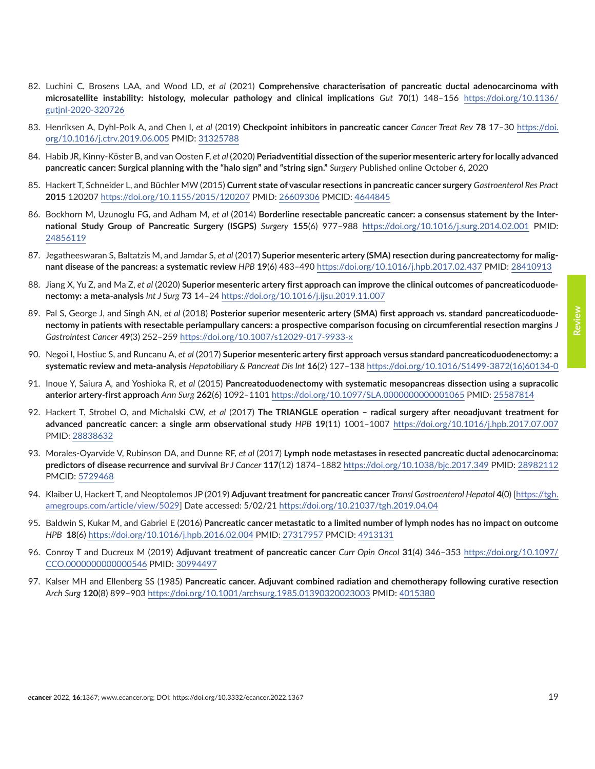- <span id="page-18-0"></span>82. Luchini C, Brosens LAA, and Wood LD, *et al* (2021) **Comprehensive characterisation of pancreatic ductal adenocarcinoma with microsatellite instability: histology, molecular pathology and clinical implications** *Gut* **70**(1) 148–156 [https://doi.org/10.1136/](https://doi.org/10.1136/gutjnl-2020-320726) [gutjnl-2020-320726](https://doi.org/10.1136/gutjnl-2020-320726)
- 83. Henriksen A, Dyhl-Polk A, and Chen I, *et al* (2019) **Checkpoint inhibitors in pancreatic cancer** *Cancer Treat Rev* **78** 17–30 [https://doi.](https://doi.org/10.1016/j.ctrv.2019.06.005) [org/10.1016/j.ctrv.2019.06.005](https://doi.org/10.1016/j.ctrv.2019.06.005) PMID: [31325788](http://www.ncbi.nlm.nih.gov/pubmed/31325788)
- 84. Habib JR, Kinny-Köster B, and van Oosten F, *et al* (2020) **Periadventitial dissection of the superior mesenteric artery for locally advanced pancreatic cancer: Surgical planning with the "halo sign" and "string sign."** *Surgery* Published online October 6, 2020
- 85. Hackert T, Schneider L, and Büchler MW (2015) **Current state of vascular resections in pancreatic cancer surgery** *Gastroenterol Res Pract* **2015** 120207 <https://doi.org/10.1155/2015/120207> PMID: [26609306](http://www.ncbi.nlm.nih.gov/pubmed/26609306) PMCID: [4644845](http://www.ncbi.nlm.nih.gov/pmc/articles/PMC4644845)
- 86. Bockhorn M, Uzunoglu FG, and Adham M, *et al* (2014) **Borderline resectable pancreatic cancer: a consensus statement by the International Study Group of Pancreatic Surgery (ISGPS)** *Surgery* **155**(6) 977–988 <https://doi.org/10.1016/j.surg.2014.02.001>PMID: [24856119](http://www.ncbi.nlm.nih.gov/pubmed/24856119)
- 87. Jegatheeswaran S, Baltatzis M, and Jamdar S, *et al* (2017) **Superior mesenteric artery (SMA) resection during pancreatectomy for malignant disease of the pancreas: a systematic review** *HPB* **19**(6) 483–490<https://doi.org/10.1016/j.hpb.2017.02.437> PMID: [28410913](http://www.ncbi.nlm.nih.gov/pubmed/28410913)
- 88. Jiang X, Yu Z, and Ma Z, *et al* (2020) **Superior mesenteric artery first approach can improve the clinical outcomes of pancreaticoduodenectomy: a meta-analysis** *Int J Surg* **73** 14–24<https://doi.org/10.1016/j.ijsu.2019.11.007>
- 89. Pal S, George J, and Singh AN, *et al* (2018) **Posterior superior mesenteric artery (SMA) first approach vs. standard pancreaticoduodenectomy in patients with resectable periampullary cancers: a prospective comparison focusing on circumferential resection margins** *J Gastrointest Cancer* **49**(3) 252–259<https://doi.org/10.1007/s12029-017-9933-x>
- 90. Negoi I, Hostiuc S, and Runcanu A, *et al* (2017) **Superior mesenteric artery first approach versus standard pancreaticoduodenectomy: a systematic review and meta-analysis** *Hepatobiliary & Pancreat Dis Int* **16**(2) 127–138 [https://doi.org/10.1016/S1499-3872\(16\)60134-0](https://doi.org/10.1016/S1499-3872(16)60134-0)
- 91. Inoue Y, Saiura A, and Yoshioka R, *et al* (2015) **Pancreatoduodenectomy with systematic mesopancreas dissection using a supracolic anterior artery-first approach** *Ann Surg* **262**(6) 1092–1101 <https://doi.org/10.1097/SLA.0000000000001065> PMID: 25587814
- 92. Hackert T, Strobel O, and Michalski CW, *et al* (2017) **The TRIANGLE operation radical surgery after neoadjuvant treatment for advanced pancreatic cancer: a single arm observational study** *HPB* **19**(11) 1001–1007 <https://doi.org/10.1016/j.hpb.2017.07.007> PMID: [28838632](http://www.ncbi.nlm.nih.gov/pubmed/28838632)
- 93. Morales-Oyarvide V, Rubinson DA, and Dunne RF, *et al* (2017) **Lymph node metastases in resected pancreatic ductal adenocarcinoma: predictors of disease recurrence and survival** *Br J Cancer* **117**(12) 1874–1882 <https://doi.org/10.1038/bjc.2017.349> PMID: 28982112 PMCID: [5729468](http://www.ncbi.nlm.nih.gov/pmc/articles/PMC5729468)
- 94. Klaiber U, Hackert T, and Neoptolemos JP (2019) **Adjuvant treatment for pancreatic cancer** *Transl Gastroenterol Hepatol* **4**(0) [\[https://tgh.](https://tgh.amegroups.com/article/view/5029) [amegroups.com/article/view/5029\]](https://tgh.amegroups.com/article/view/5029) Date accessed: 5/02/21<https://doi.org/10.21037/tgh.2019.04.04>
- 95**.** Baldwin S, Kukar M, and Gabriel E (2016) **Pancreatic cancer metastatic to a limited number of lymph nodes has no impact on outcome** *HPB* **18**(6)<https://doi.org/10.1016/j.hpb.2016.02.004> PMID: [27317957](http://www.ncbi.nlm.nih.gov/pubmed/27317957) PMCID: [4913131](http://www.ncbi.nlm.nih.gov/pmc/articles/PMC4913131)
- 96. Conroy T and Ducreux M (2019) **Adjuvant treatment of pancreatic cancer** *Curr Opin Oncol* **31**(4) 346–353 [https://doi.org/10.1097/](https://doi.org/10.1097/CCO.0000000000000546) [CCO.0000000000000546](https://doi.org/10.1097/CCO.0000000000000546) PMID: [30994497](http://www.ncbi.nlm.nih.gov/pubmed/30994497)
- 97. Kalser MH and Ellenberg SS (1985) **Pancreatic cancer. Adjuvant combined radiation and chemotherapy following curative resection** *Arch Surg* **120**(8) 899–903<https://doi.org/10.1001/archsurg.1985.01390320023003> PMID: [4015380](http://www.ncbi.nlm.nih.gov/pubmed/4015380)